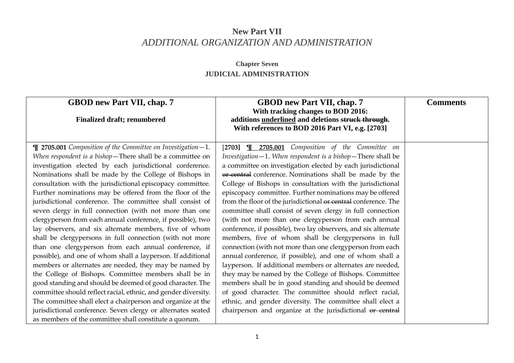# **New Part VII** *ADDITIONAL ORGANIZATION AND ADMINISTRATION*

## **Chapter Seven JUDICIAL ADMINISTRATION**

| <b>GBOD</b> new Part VII, chap. 7                                                                                  | <b>GBOD</b> new Part VII, chap. 7                                                                                                            | <b>Comments</b> |
|--------------------------------------------------------------------------------------------------------------------|----------------------------------------------------------------------------------------------------------------------------------------------|-----------------|
| <b>Finalized draft; renumbered</b>                                                                                 | With tracking changes to BOD 2016:<br>additions underlined and deletions struck through.<br>With references to BOD 2016 Part VI, e.g. [2703] |                 |
| $\P$ 2705.001 Composition of the Committee on Investigation -1.                                                    | 2705.001 Composition of the Committee on<br>$[2703]$ 1                                                                                       |                 |
| When respondent is a bishop-There shall be a committee on                                                          | Investigation-1. When respondent is a bishop-There shall be                                                                                  |                 |
| investigation elected by each jurisdictional conference.<br>Nominations shall be made by the College of Bishops in | a committee on investigation elected by each jurisdictional<br>or central conference. Nominations shall be made by the                       |                 |
| consultation with the jurisdictional episcopacy committee.                                                         | College of Bishops in consultation with the jurisdictional                                                                                   |                 |
| Further nominations may be offered from the floor of the                                                           | episcopacy committee. Further nominations may be offered                                                                                     |                 |
| jurisdictional conference. The committee shall consist of                                                          | from the floor of the jurisdictional or central conference. The                                                                              |                 |
| seven clergy in full connection (with not more than one                                                            | committee shall consist of seven clergy in full connection                                                                                   |                 |
| clergyperson from each annual conference, if possible), two                                                        | (with not more than one clergyperson from each annual                                                                                        |                 |
| lay observers, and six alternate members, five of whom                                                             | conference, if possible), two lay observers, and six alternate                                                                               |                 |
| shall be clergypersons in full connection (with not more<br>than one clergyperson from each annual conference, if  | members, five of whom shall be clergypersons in full<br>connection (with not more than one clergyperson from each                            |                 |
| possible), and one of whom shall a layperson. If additional                                                        | annual conference, if possible), and one of whom shall a                                                                                     |                 |
| members or alternates are needed, they may be named by                                                             | layperson. If additional members or alternates are needed,                                                                                   |                 |
| the College of Bishops. Committee members shall be in                                                              | they may be named by the College of Bishops. Committee                                                                                       |                 |
| good standing and should be deemed of good character. The                                                          | members shall be in good standing and should be deemed                                                                                       |                 |
| committee should reflect racial, ethnic, and gender diversity.                                                     | of good character. The committee should reflect racial,                                                                                      |                 |
| The committee shall elect a chairperson and organize at the                                                        | ethnic, and gender diversity. The committee shall elect a                                                                                    |                 |
| jurisdictional conference. Seven clergy or alternates seated                                                       | chairperson and organize at the jurisdictional or central                                                                                    |                 |
| as members of the committee shall constitute a quorum.                                                             |                                                                                                                                              |                 |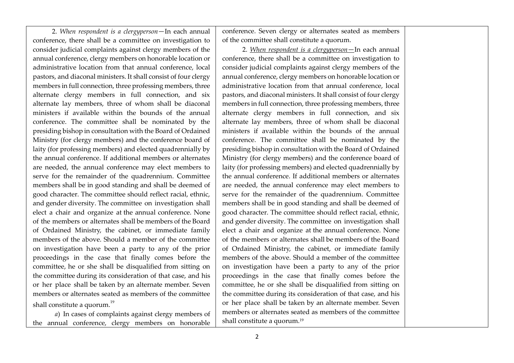2. *When respondent is a clergyperson*—In each annual conference, there shall be a committee on investigation to consider judicial complaints against clergy members of the annual conference, clergy members on honorable location or administrative location from that annual conference, local pastors, and diaconal ministers. It shall consist of four clergy members in full connection, three professing members, three alternate clergy members in full connection, and six alternate lay members, three of whom shall be diaconal ministers if available within the bounds of the annual conference. The committee shall be nominated by the presiding bishop in consultation with the Board of Ordained Ministry (for clergy members) and the conference board of laity (for professing members) and elected quadrennially by the annual conference. If additional members or alternates are needed, the annual conference may elect members to serve for the remainder of the quadrennium. Committee members shall be in good standing and shall be deemed of good character. The committee should reflect racial, ethnic, and gender diversity. The committee on investigation shall elect a chair and organize at the annual conference. None of the members or alternates shall be members of the Board of Ordained Ministry, the cabinet, or immediate family members of the above. Should a member of the committee on investigation have been a party to any of the prior proceedings in the case that finally comes before the committee, he or she shall be disqualified from sitting on the committee during its consideration of that case, and his or her place shall be taken by an alternate member. Seven members or alternates seated as members of the committee shall constitute a quorum.<sup>19</sup>

*a*) In cases of complaints against clergy members of the annual conference, clergy members on honorable

conference. Seven clergy or alternates seated as members of the committee shall constitute a quorum.

2. *When respondent is a clergyperson*—In each annual conference, there shall be a committee on investigation to consider judicial complaints against clergy members of the annual conference, clergy members on honorable location or administrative location from that annual conference, local pastors, and diaconal ministers. It shall consist of four clergy members in full connection, three professing members, three alternate clergy members in full connection, and six alternate lay members, three of whom shall be diaconal ministers if available within the bounds of the annual conference. The committee shall be nominated by the presiding bishop in consultation with the Board of Ordained Ministry (for clergy members) and the conference board of laity (for professing members) and elected quadrennially by the annual conference. If additional members or alternates are needed, the annual conference may elect members to serve for the remainder of the quadrennium. Committee members shall be in good standing and shall be deemed of good character. The committee should reflect racial, ethnic, and gender diversity. The committee on investigation shall elect a chair and organize at the annual conference. None of the members or alternates shall be members of the Board of Ordained Ministry, the cabinet, or immediate family members of the above. Should a member of the committee on investigation have been a party to any of the prior proceedings in the case that finally comes before the committee, he or she shall be disqualified from sitting on the committee during its consideration of that case, and his or her place shall be taken by an alternate member. Seven members or alternates seated as members of the committee shall constitute a quorum.19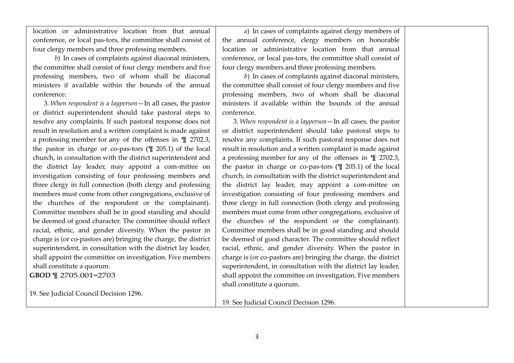location or administrative location from that annual conference, or local pas-tors, the committee shall consist of four clergy members and three professing members.

*b*) In cases of complaints against diaconal ministers, the committee shall consist of four clergy members and five professing members, two of whom shall be diaconal ministers if available within the bounds of the annual conference.

3. *When respondent is a layperson*—In all cases, the pastor or district superintendent should take pastoral steps to resolve any complaints. If such pastoral response does not result in resolution and a written complaint is made against a professing member for any of the offenses in ¶ 2702.3, the pastor in charge or co-pas-tors (¶ 205.1) of the local church, in consultation with the district superintendent and the district lay leader, may appoint a com-mittee on investigation consisting of four professing members and three clergy in full connection (both clergy and professing members must come from other congregations, exclusive of the churches of the respondent or the complainant). Committee members shall be in good standing and should be deemed of good character. The committee should reflect racial, ethnic, and gender diversity. When the pastor in charge is (or co-pastors are) bringing the charge, the district superintendent, in consultation with the district lay leader, shall appoint the committee on investigation. Five members shall constitute a quorum. **GBOD** ¶ 2705.001=2703

19. See Judicial Council Decision 1296.

*a*) In cases of complaints against clergy members of the annual conference, clergy members on honorable location or administrative location from that annual conference, or local pas-tors, the committee shall consist of four clergy members and three professing members.

*b*) In cases of complaints against diaconal ministers, the committee shall consist of four clergy members and five professing members, two of whom shall be diaconal ministers if available within the bounds of the annual conference.

3. *When respondent is a layperson*—In all cases, the pastor or district superintendent should take pastoral steps to resolve any complaints. If such pastoral response does not result in resolution and a written complaint is made against a professing member for any of the offenses in ¶ 2702.3, the pastor in charge or co-pas-tors (¶ 205.1) of the local church, in consultation with the district superintendent and the district lay leader, may appoint a com-mittee on investigation consisting of four professing members and three clergy in full connection (both clergy and professing members must come from other congregations, exclusive of the churches of the respondent or the complainant). Committee members shall be in good standing and should be deemed of good character. The committee should reflect racial, ethnic, and gender diversity. When the pastor in charge is (or co-pastors are) bringing the charge, the district superintendent, in consultation with the district lay leader, shall appoint the committee on investigation. Five members shall constitute a quorum.

19. See Judicial Council Decision 1296.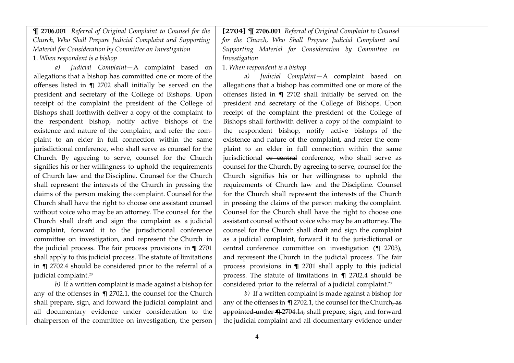**¶ 2706.001** *Referral of Original Complaint to Counsel for the Church, Who Shall Prepare Judicial Complaint and Supporting Material for Consideration by Committee on Investigation* 1. *When respondent is a bishop*

*a) Judicial Complaint*—A complaint based on allegations that a bishop has committed one or more of the offenses listed in ¶ 2702 shall initially be served on the president and secretary of the College of Bishops. Upon receipt of the complaint the president of the College of Bishops shall forthwith deliver a copy of the complaint to the respondent bishop, notify active bishops of the existence and nature of the complaint, and refer the complaint to an elder in full connection within the same jurisdictional conference, who shall serve as counsel for the Church. By agreeing to serve, counsel for the Church signifies his or her willingness to uphold the requirements of Church law and the Discipline. Counsel for the Church shall represent the interests of the Church in pressing the claims of the person making the complaint. Counsel for the Church shall have the right to choose one assistant counsel without voice who may be an attorney. The counsel for the Church shall draft and sign the complaint as a judicial complaint, forward it to the jurisdictional conference committee on investigation, and represent the Church in the judicial process. The fair process provisions in ¶ 2701 shall apply to this judicial process. The statute of limitations in ¶ 2702.4 should be considered prior to the referral of a judicial complaint.<sup>20</sup>

*b)* If a written complaint is made against a bishop for any of the offenses in ¶ 2702.1, the counsel for the Church shall prepare, sign, and forward the judicial complaint and all documentary evidence under consideration to the chairperson of the committee on investigation, the person

**[2704] ¶ 2706.001** *Referral of Original Complaint to Counsel for the Church, Who Shall Prepare Judicial Complaint and Supporting Material for Consideration by Committee on Investigation*

1. *When respondent is a bishop*

*a) Judicial Complaint*—A complaint based on allegations that a bishop has committed one or more of the offenses listed in ¶ 2702 shall initially be served on the president and secretary of the College of Bishops. Upon receipt of the complaint the president of the College of Bishops shall forthwith deliver a copy of the complaint to the respondent bishop, notify active bishops of the existence and nature of the complaint, and refer the complaint to an elder in full connection within the same jurisdictional or central conference, who shall serve as counsel for the Church. By agreeing to serve, counsel for the Church signifies his or her willingness to uphold the requirements of Church law and the Discipline. Counsel for the Church shall represent the interests of the Church in pressing the claims of the person making the complaint. Counsel for the Church shall have the right to choose one assistant counsel without voice who may be an attorney. The counsel for the Church shall draft and sign the complaint as a judicial complaint, forward it to the jurisdictional or central conference committee on investigation (¶ 2703), and represent the Church in the judicial process. The fair process provisions in ¶ 2701 shall apply to this judicial process. The statute of limitations in ¶ 2702.4 should be considered prior to the referral of a judicial complaint.<sup>20</sup>

*b)* If a written complaint is made against a bishop for any of the offenses in  $\P$  2702.1, the counsel for the Church, as appointed under ¶ 2704.1*a*, shall prepare, sign, and forward the judicial complaint and all documentary evidence under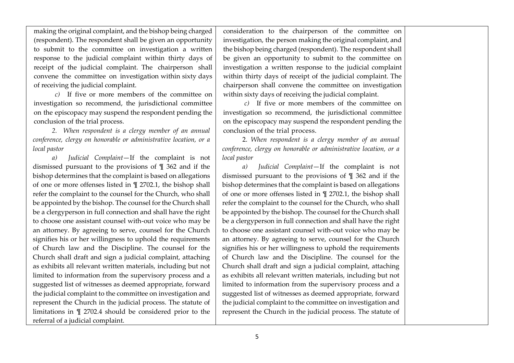making the original complaint, and the bishop being charged (respondent). The respondent shall be given an opportunity to submit to the committee on investigation a written response to the judicial complaint within thirty days of receipt of the judicial complaint. The chairperson shall convene the committee on investigation within sixty days of receiving the judicial complaint.

*c)* If five or more members of the committee on investigation so recommend, the jurisdictional committee on the episcopacy may suspend the respondent pending the conclusion of the trial process.

*2. When respondent is a clergy member of an annual conference, clergy on honorable or administrative location, or a local pastor*

*a) Judicial Complaint*—If the complaint is not dismissed pursuant to the provisions of ¶ 362 and if the bishop determines that the complaint is based on allegations of one or more offenses listed in ¶ 2702.1, the bishop shall refer the complaint to the counsel for the Church, who shall be appointed by the bishop. The counsel for the Church shall be a clergyperson in full connection and shall have the right to choose one assistant counsel with-out voice who may be an attorney. By agreeing to serve, counsel for the Church signifies his or her willingness to uphold the requirements of Church law and the Discipline. The counsel for the Church shall draft and sign a judicial complaint, attaching as exhibits all relevant written materials, including but not limited to information from the supervisory process and a suggested list of witnesses as deemed appropriate, forward the judicial complaint to the committee on investigation and represent the Church in the judicial process. The statute of limitations in ¶ 2702.4 should be considered prior to the referral of a judicial complaint.

consideration to the chairperson of the committee on investigation, the person making the original complaint, and the bishop being charged (respondent). The respondent shall be given an opportunity to submit to the committee on investigation a written response to the judicial complaint within thirty days of receipt of the judicial complaint. The chairperson shall convene the committee on investigation within sixty days of receiving the judicial complaint.

*c)* If five or more members of the committee on investigation so recommend, the jurisdictional committee on the episcopacy may suspend the respondent pending the conclusion of the trial process.

2. *When respondent is a clergy member of an annual conference, clergy on honorable or administrative location, or a local pastor*

*a) Judicial Complaint*—If the complaint is not dismissed pursuant to the provisions of ¶ 362 and if the bishop determines that the complaint is based on allegations of one or more offenses listed in ¶ 2702.1, the bishop shall refer the complaint to the counsel for the Church, who shall be appointed by the bishop. The counsel for the Church shall be a clergyperson in full connection and shall have the right to choose one assistant counsel with-out voice who may be an attorney. By agreeing to serve, counsel for the Church signifies his or her willingness to uphold the requirements of Church law and the Discipline. The counsel for the Church shall draft and sign a judicial complaint, attaching as exhibits all relevant written materials, including but not limited to information from the supervisory process and a suggested list of witnesses as deemed appropriate, forward the judicial complaint to the committee on investigation and represent the Church in the judicial process. The statute of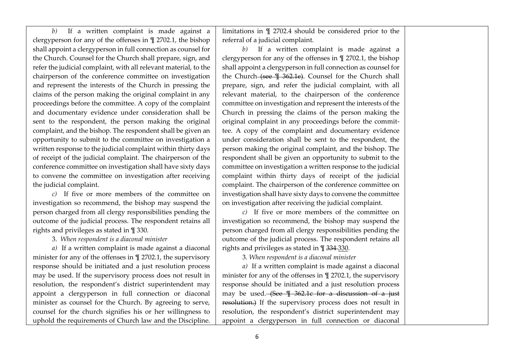*b)* If a written complaint is made against a clergyperson for any of the offenses in ¶ 2702.1, the bishop shall appoint a clergyperson in full connection as counsel for the Church. Counsel for the Church shall prepare, sign, and refer the judicial complaint, with all relevant material, to the chairperson of the conference committee on investigation and represent the interests of the Church in pressing the claims of the person making the original complaint in any proceedings before the committee. A copy of the complaint and documentary evidence under consideration shall be sent to the respondent, the person making the original complaint, and the bishop. The respondent shall be given an opportunity to submit to the committee on investigation a written response to the judicial complaint within thirty days of receipt of the judicial complaint. The chairperson of the conference committee on investigation shall have sixty days to convene the committee on investigation after receiving the judicial complaint.

*c)* If five or more members of the committee on investigation so recommend, the bishop may suspend the person charged from all clergy responsibilities pending the outcome of the judicial process. The respondent retains all rights and privileges as stated in ¶ 330.

#### 3. *When respondent is a diaconal minister*

*a)* If a written complaint is made against a diaconal minister for any of the offenses in ¶ 2702.1, the supervisory response should be initiated and a just resolution process may be used. If the supervisory process does not result in resolution, the respondent's district superintendent may appoint a clergyperson in full connection or diaconal minister as counsel for the Church. By agreeing to serve, counsel for the church signifies his or her willingness to uphold the requirements of Church law and the Discipline.

limitations in ¶ 2702.4 should be considered prior to the referral of a judicial complaint.

*b)* If a written complaint is made against a clergyperson for any of the offenses in ¶ 2702.1, the bishop shall appoint a clergyperson in full connection as counsel for the Church (see ¶ 362.1e). Counsel for the Church shall prepare, sign, and refer the judicial complaint, with all relevant material, to the chairperson of the conference committee on investigation and represent the interests of the Church in pressing the claims of the person making the original complaint in any proceedings before the committee. A copy of the complaint and documentary evidence under consideration shall be sent to the respondent, the person making the original complaint, and the bishop. The respondent shall be given an opportunity to submit to the committee on investigation a written response to the judicial complaint within thirty days of receipt of the judicial complaint. The chairperson of the conference committee on investigation shall have sixty days to convene the committee on investigation after receiving the judicial complaint.

*c)* If five or more members of the committee on investigation so recommend, the bishop may suspend the person charged from all clergy responsibilities pending the outcome of the judicial process. The respondent retains all rights and privileges as stated in ¶ 334 330.

3. *When respondent is a diaconal minister*

*a)* If a written complaint is made against a diaconal minister for any of the offenses in ¶ 2702.1, the supervisory response should be initiated and a just resolution process may be used. (See  $\frac{1}{2}$  362.1c for a discussion of a just resolution.) If the supervisory process does not result in resolution, the respondent's district superintendent may appoint a clergyperson in full connection or diaconal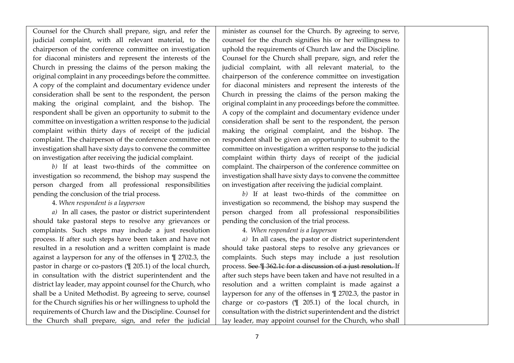Counsel for the Church shall prepare, sign, and refer the judicial complaint, with all relevant material, to the chairperson of the conference committee on investigation for diaconal ministers and represent the interests of the Church in pressing the claims of the person making the original complaint in any proceedings before the committee. A copy of the complaint and documentary evidence under consideration shall be sent to the respondent, the person making the original complaint, and the bishop. The respondent shall be given an opportunity to submit to the committee on investigation a written response to the judicial complaint within thirty days of receipt of the judicial complaint. The chairperson of the conference committee on investigation shall have sixty days to convene the committee on investigation after receiving the judicial complaint.

b) If at least two-thirds of the committee on investigation so recommend, the bishop may suspend the person charged from all professional responsibilities pending the conclusion of the trial process.

4. *When respondent is a layperson*

*a)* In all cases, the pastor or district superintendent should take pastoral steps to resolve any grievances or complaints. Such steps may include a just resolution process. If after such steps have been taken and have not resulted in a resolution and a written complaint is made against a layperson for any of the offenses in ¶ 2702.3, the pastor in charge or co-pastors (¶ 205.1) of the local church, in consultation with the district superintendent and the district lay leader, may appoint counsel for the Church, who shall be a United Methodist. By agreeing to serve, counsel for the Church signifies his or her willingness to uphold the requirements of Church law and the Discipline. Counsel for the Church shall prepare, sign, and refer the judicial

minister as counsel for the Church. By agreeing to serve, counsel for the church signifies his or her willingness to uphold the requirements of Church law and the Discipline. Counsel for the Church shall prepare, sign, and refer the judicial complaint, with all relevant material, to the chairperson of the conference committee on investigation for diaconal ministers and represent the interests of the Church in pressing the claims of the person making the original complaint in any proceedings before the committee. A copy of the complaint and documentary evidence under consideration shall be sent to the respondent, the person making the original complaint, and the bishop. The respondent shall be given an opportunity to submit to the committee on investigation a written response to the judicial complaint within thirty days of receipt of the judicial complaint. The chairperson of the conference committee on investigation shall have sixty days to convene the committee on investigation after receiving the judicial complaint.

b) If at least two-thirds of the committee on investigation so recommend, the bishop may suspend the person charged from all professional responsibilities pending the conclusion of the trial process.

4. *When respondent is a layperson*

*a)* In all cases, the pastor or district superintendent should take pastoral steps to resolve any grievances or complaints. Such steps may include a just resolution process. See ¶ 362.1c for a discussion of a just resolution. If after such steps have been taken and have not resulted in a resolution and a written complaint is made against a layperson for any of the offenses in ¶ 2702.3, the pastor in charge or co-pastors (¶ 205.1) of the local church, in consultation with the district superintendent and the district lay leader, may appoint counsel for the Church, who shall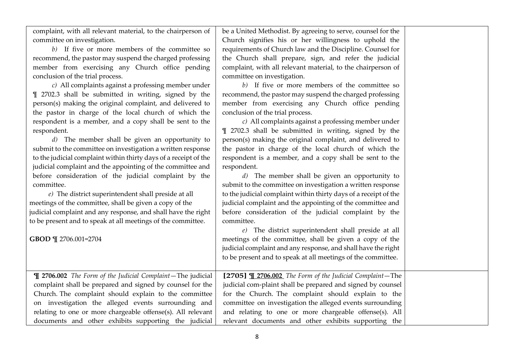complaint, with all relevant material, to the chairperson of committee on investigation.

*b)* If five or more members of the committee so recommend, the pastor may suspend the charged professing member from exercising any Church office pending conclusion of the trial process.

*c)* All complaints against a professing member under ¶ 2702.3 shall be submitted in writing, signed by the person(s) making the original complaint, and delivered to the pastor in charge of the local church of which the respondent is a member, and a copy shall be sent to the respondent.

*d)* The member shall be given an opportunity to submit to the committee on investigation a written response to the judicial complaint within thirty days of a receipt of the judicial complaint and the appointing of the committee and before consideration of the judicial complaint by the committee.

*e)* The district superintendent shall preside at all meetings of the committee, shall be given a copy of the judicial complaint and any response, and shall have the right to be present and to speak at all meetings of the committee.

**GBOD** ¶ 2706.001=2704

**¶ 2706.002** *The Form of the Judicial Complaint*—The judicial complaint shall be prepared and signed by counsel for the Church. The complaint should explain to the committee on investigation the alleged events surrounding and relating to one or more chargeable offense(s). All relevant documents and other exhibits supporting the judicial

be a United Methodist. By agreeing to serve, counsel for the Church signifies his or her willingness to uphold the requirements of Church law and the Discipline. Counsel for the Church shall prepare, sign, and refer the judicial complaint, with all relevant material, to the chairperson of committee on investigation.

b) If five or more members of the committee so recommend, the pastor may suspend the charged professing member from exercising any Church office pending conclusion of the trial process.

*c)* All complaints against a professing member under ¶ 2702.3 shall be submitted in writing, signed by the person(s) making the original complaint, and delivered to the pastor in charge of the local church of which the respondent is a member, and a copy shall be sent to the respondent.

*d)* The member shall be given an opportunity to submit to the committee on investigation a written response to the judicial complaint within thirty days of a receipt of the judicial complaint and the appointing of the committee and before consideration of the judicial complaint by the committee.

*e)* The district superintendent shall preside at all meetings of the committee, shall be given a copy of the judicial complaint and any response, and shall have the right to be present and to speak at all meetings of the committee.

**[2705] ¶ 2706.002** *The Form of the Judicial Complaint*—The judicial com-plaint shall be prepared and signed by counsel for the Church. The complaint should explain to the committee on investigation the alleged events surrounding and relating to one or more chargeable offense(s). All relevant documents and other exhibits supporting the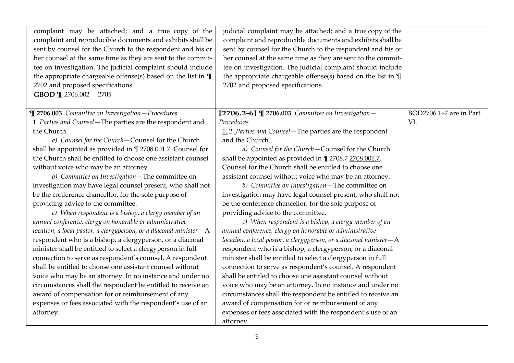| complaint may be attached; and a true copy of the<br>complaint and reproducible documents and exhibits shall be<br>sent by counsel for the Church to the respondent and his or<br>her counsel at the same time as they are sent to the commit-<br>tee on investigation. The judicial complaint should include<br>the appropriate chargeable offense(s) based on the list in $\P$ | judicial complaint may be attached; and a true copy of the<br>complaint and reproducible documents and exhibits shall be<br>sent by counsel for the Church to the respondent and his or<br>her counsel at the same time as they are sent to the commit-<br>tee on investigation. The judicial complaint should include<br>the appropriate chargeable offense(s) based on the list in $\P$ |                         |
|----------------------------------------------------------------------------------------------------------------------------------------------------------------------------------------------------------------------------------------------------------------------------------------------------------------------------------------------------------------------------------|-------------------------------------------------------------------------------------------------------------------------------------------------------------------------------------------------------------------------------------------------------------------------------------------------------------------------------------------------------------------------------------------|-------------------------|
| 2702 and proposed specifications.                                                                                                                                                                                                                                                                                                                                                | 2702 and proposed specifications.                                                                                                                                                                                                                                                                                                                                                         |                         |
| <b>GBOD</b> $\text{T}$ 2706.002 = 2705                                                                                                                                                                                                                                                                                                                                           |                                                                                                                                                                                                                                                                                                                                                                                           |                         |
| <b>Il</b> 2706.003 Committee on Investigation-Procedures                                                                                                                                                                                                                                                                                                                         | [2706.2-6] T 2706.003 Committee on Investigation-                                                                                                                                                                                                                                                                                                                                         | BOD2706.1+7 are in Part |
| 1. Parties and Counsel - The parties are the respondent and                                                                                                                                                                                                                                                                                                                      | Procedures                                                                                                                                                                                                                                                                                                                                                                                | VI.                     |
| the Church.                                                                                                                                                                                                                                                                                                                                                                      | 1.2. Parties and Counsel–The parties are the respondent                                                                                                                                                                                                                                                                                                                                   |                         |
| a) Counsel for the Church-Counsel for the Church                                                                                                                                                                                                                                                                                                                                 | and the Church.                                                                                                                                                                                                                                                                                                                                                                           |                         |
| shall be appointed as provided in 1 2708.001.7. Counsel for                                                                                                                                                                                                                                                                                                                      | a) Counsel for the Church-Counsel for the Church                                                                                                                                                                                                                                                                                                                                          |                         |
| the Church shall be entitled to choose one assistant counsel                                                                                                                                                                                                                                                                                                                     | shall be appointed as provided in ¶ 2708.7 2708.001.7.                                                                                                                                                                                                                                                                                                                                    |                         |
| without voice who may be an attorney.                                                                                                                                                                                                                                                                                                                                            | Counsel for the Church shall be entitled to choose one                                                                                                                                                                                                                                                                                                                                    |                         |
| b) Committee on Investigation-The committee on                                                                                                                                                                                                                                                                                                                                   | assistant counsel without voice who may be an attorney.                                                                                                                                                                                                                                                                                                                                   |                         |
| investigation may have legal counsel present, who shall not                                                                                                                                                                                                                                                                                                                      | b) Committee on Investigation-The committee on                                                                                                                                                                                                                                                                                                                                            |                         |
| be the conference chancellor, for the sole purpose of                                                                                                                                                                                                                                                                                                                            | investigation may have legal counsel present, who shall not                                                                                                                                                                                                                                                                                                                               |                         |
| providing advice to the committee.                                                                                                                                                                                                                                                                                                                                               | be the conference chancellor, for the sole purpose of                                                                                                                                                                                                                                                                                                                                     |                         |
| c) When respondent is a bishop, a clergy member of an                                                                                                                                                                                                                                                                                                                            | providing advice to the committee.                                                                                                                                                                                                                                                                                                                                                        |                         |
| annual conference, clergy on honorable or administrative                                                                                                                                                                                                                                                                                                                         | c) When respondent is a bishop, a clergy member of an                                                                                                                                                                                                                                                                                                                                     |                         |
| location, a local pastor, a clergyperson, or a diaconal minister $-A$                                                                                                                                                                                                                                                                                                            | annual conference, clergy on honorable or administrative                                                                                                                                                                                                                                                                                                                                  |                         |
| respondent who is a bishop, a clergyperson, or a diaconal                                                                                                                                                                                                                                                                                                                        | location, a local pastor, a clergyperson, or a diaconal minister $-A$                                                                                                                                                                                                                                                                                                                     |                         |
| minister shall be entitled to select a clergyperson in full                                                                                                                                                                                                                                                                                                                      | respondent who is a bishop, a clergyperson, or a diaconal                                                                                                                                                                                                                                                                                                                                 |                         |
| connection to serve as respondent's counsel. A respondent                                                                                                                                                                                                                                                                                                                        | minister shall be entitled to select a clergyperson in full                                                                                                                                                                                                                                                                                                                               |                         |
| shall be entitled to choose one assistant counsel without                                                                                                                                                                                                                                                                                                                        | connection to serve as respondent's counsel. A respondent                                                                                                                                                                                                                                                                                                                                 |                         |
| voice who may be an attorney. In no instance and under no                                                                                                                                                                                                                                                                                                                        | shall be entitled to choose one assistant counsel without                                                                                                                                                                                                                                                                                                                                 |                         |
| circumstances shall the respondent be entitled to receive an                                                                                                                                                                                                                                                                                                                     | voice who may be an attorney. In no instance and under no                                                                                                                                                                                                                                                                                                                                 |                         |
| award of compensation for or reimbursement of any                                                                                                                                                                                                                                                                                                                                | circumstances shall the respondent be entitled to receive an                                                                                                                                                                                                                                                                                                                              |                         |
| expenses or fees associated with the respondent's use of an                                                                                                                                                                                                                                                                                                                      | award of compensation for or reimbursement of any                                                                                                                                                                                                                                                                                                                                         |                         |
| attorney.                                                                                                                                                                                                                                                                                                                                                                        | expenses or fees associated with the respondent's use of an                                                                                                                                                                                                                                                                                                                               |                         |
|                                                                                                                                                                                                                                                                                                                                                                                  | attorney.                                                                                                                                                                                                                                                                                                                                                                                 |                         |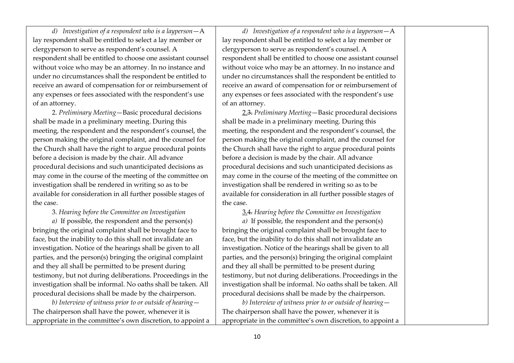*d) Investigation of a respondent who is a layperson*—A lay respondent shall be entitled to select a lay member or clergyperson to serve as respondent's counsel. A respondent shall be entitled to choose one assistant counsel without voice who may be an attorney. In no instance and under no circumstances shall the respondent be entitled to receive an award of compensation for or reimbursement of any expenses or fees associated with the respondent's use of an attorney.

2. *Preliminary Meeting*—Basic procedural decisions shall be made in a preliminary meeting. During this meeting, the respondent and the respondent's counsel, the person making the original complaint, and the counsel for the Church shall have the right to argue procedural points before a decision is made by the chair. All advance procedural decisions and such unanticipated decisions as may come in the course of the meeting of the committee on investigation shall be rendered in writing so as to be available for consideration in all further possible stages of the case.

#### 3. *Hearing before the Committee on Investigation*

*a)* If possible, the respondent and the person(s) bringing the original complaint shall be brought face to face, but the inability to do this shall not invalidate an investigation. Notice of the hearings shall be given to all parties, and the person(s) bringing the original complaint and they all shall be permitted to be present during testimony, but not during deliberations. Proceedings in the investigation shall be informal. No oaths shall be taken. All procedural decisions shall be made by the chairperson.

*b) Interview of witness prior to or outside of hearing*— The chairperson shall have the power, whenever it is appropriate in the committee's own discretion, to appoint a

*d) Investigation of a respondent who is a layperson*—A lay respondent shall be entitled to select a lay member or clergyperson to serve as respondent's counsel. A respondent shall be entitled to choose one assistant counsel without voice who may be an attorney. In no instance and under no circumstances shall the respondent be entitled to receive an award of compensation for or reimbursement of any expenses or fees associated with the respondent's use of an attorney.

2.3. *Preliminary Meeting*—Basic procedural decisions shall be made in a preliminary meeting. During this meeting, the respondent and the respondent's counsel, the person making the original complaint, and the counsel for the Church shall have the right to argue procedural points before a decision is made by the chair. All advance procedural decisions and such unanticipated decisions as may come in the course of the meeting of the committee on investigation shall be rendered in writing so as to be available for consideration in all further possible stages of the case.

#### 3.4. *Hearing before the Committee on Investigation*

*a)* If possible, the respondent and the person(s) bringing the original complaint shall be brought face to face, but the inability to do this shall not invalidate an investigation. Notice of the hearings shall be given to all parties, and the person(s) bringing the original complaint and they all shall be permitted to be present during testimony, but not during deliberations. Proceedings in the investigation shall be informal. No oaths shall be taken. All procedural decisions shall be made by the chairperson.

*b) Interview of witness prior to or outside of hearing*— The chairperson shall have the power, whenever it is appropriate in the committee's own discretion, to appoint a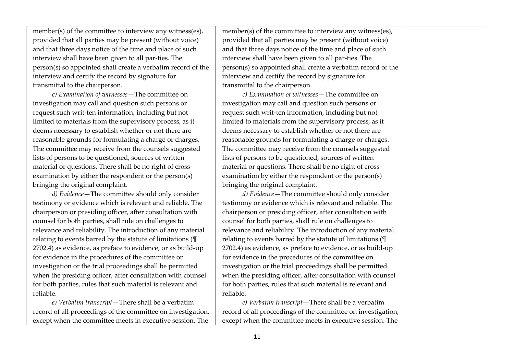member(s) of the committee to interview any witness(es), provided that all parties may be present (without voice) and that three days notice of the time and place of such interview shall have been given to all par-ties. The person(s) so appointed shall create a verbatim record of the interview and certify the record by signature for transmittal to the chairperson.

*c) Examination of witnesses*—The committee on investigation may call and question such persons or request such writ-ten information, including but not limited to materials from the supervisory process, as it deems necessary to establish whether or not there are reasonable grounds for formulating a charge or charges. The committee may receive from the counsels suggested lists of persons to be questioned, sources of written material or questions. There shall be no right of crossexamination by either the respondent or the person(s) bringing the original complaint.

*d) Evidence*—The committee should only consider testimony or evidence which is relevant and reliable. The chairperson or presiding officer, after consultation with counsel for both parties, shall rule on challenges to relevance and reliability. The introduction of any material relating to events barred by the statute of limitations (¶ 2702.4) as evidence, as preface to evidence, or as build-up for evidence in the procedures of the committee on investigation or the trial proceedings shall be permitted when the presiding officer, after consultation with counsel for both parties, rules that such material is relevant and reliable.

*e) Verbatim transcript*—There shall be a verbatim record of all proceedings of the committee on investigation, except when the committee meets in executive session. The

member(s) of the committee to interview any witness(es), provided that all parties may be present (without voice) and that three days notice of the time and place of such interview shall have been given to all par-ties. The person(s) so appointed shall create a verbatim record of the interview and certify the record by signature for transmittal to the chairperson.

*c) Examination of witnesses*—The committee on investigation may call and question such persons or request such writ-ten information, including but not limited to materials from the supervisory process, as it deems necessary to establish whether or not there are reasonable grounds for formulating a charge or charges. The committee may receive from the counsels suggested lists of persons to be questioned, sources of written material or questions. There shall be no right of crossexamination by either the respondent or the person(s) bringing the original complaint.

*d) Evidence*—The committee should only consider testimony or evidence which is relevant and reliable. The chairperson or presiding officer, after consultation with counsel for both parties, shall rule on challenges to relevance and reliability. The introduction of any material relating to events barred by the statute of limitations (¶ 2702.4) as evidence, as preface to evidence, or as build-up for evidence in the procedures of the committee on investigation or the trial proceedings shall be permitted when the presiding officer, after consultation with counsel for both parties, rules that such material is relevant and reliable.

*e) Verbatim transcript*—There shall be a verbatim record of all proceedings of the committee on investigation, except when the committee meets in executive session. The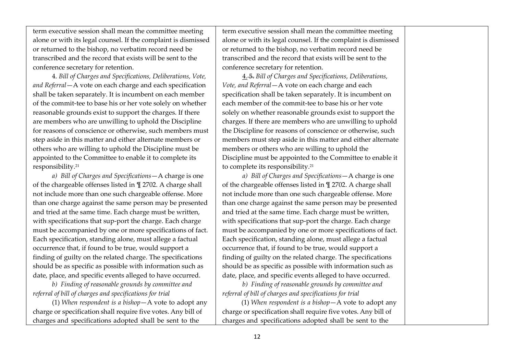term executive session shall mean the committee meeting alone or with its legal counsel. If the complaint is dismissed or returned to the bishop, no verbatim record need be transcribed and the record that exists will be sent to the conference secretary for retention.

4. *Bill of Charges and Specifications, Deliberations, Vote, and Referral*—A vote on each charge and each specification shall be taken separately. It is incumbent on each member of the commit-tee to base his or her vote solely on whether reasonable grounds exist to support the charges. If there are members who are unwilling to uphold the Discipline for reasons of conscience or otherwise, such members must step aside in this matter and either alternate members or others who are willing to uphold the Discipline must be appointed to the Committee to enable it to complete its responsibility.<sup>21</sup>

*a) Bill of Charges and Specifications*—A charge is one of the chargeable offenses listed in ¶ 2702. A charge shall not include more than one such chargeable offense. More than one charge against the same person may be presented and tried at the same time. Each charge must be written, with specifications that sup-port the charge. Each charge must be accompanied by one or more specifications of fact. Each specification, standing alone, must allege a factual occurrence that, if found to be true, would support a finding of guilty on the related charge. The specifications should be as specific as possible with information such as date, place, and specific events alleged to have occurred.

*b) Finding of reasonable grounds by committee and referral of bill of charges and specifications for trial*

(1) *When respondent is a bishop*—A vote to adopt any charge or specification shall require five votes. Any bill of charges and specifications adopted shall be sent to the

term executive session shall mean the committee meeting alone or with its legal counsel. If the complaint is dismissed or returned to the bishop, no verbatim record need be transcribed and the record that exists will be sent to the conference secretary for retention.

4. 5. *Bill of Charges and Specifications, Deliberations, Vote, and Referral*—A vote on each charge and each specification shall be taken separately. It is incumbent on each member of the commit-tee to base his or her vote solely on whether reasonable grounds exist to support the charges. If there are members who are unwilling to uphold the Discipline for reasons of conscience or otherwise, such members must step aside in this matter and either alternate members or others who are willing to uphold the Discipline must be appointed to the Committee to enable it to complete its responsibility.<sup>21</sup>

*a) Bill of Charges and Specifications*—A charge is one of the chargeable offenses listed in ¶ 2702. A charge shall not include more than one such chargeable offense. More than one charge against the same person may be presented and tried at the same time. Each charge must be written, with specifications that sup-port the charge. Each charge must be accompanied by one or more specifications of fact. Each specification, standing alone, must allege a factual occurrence that, if found to be true, would support a finding of guilty on the related charge. The specifications should be as specific as possible with information such as date, place, and specific events alleged to have occurred.

*b) Finding of reasonable grounds by committee and referral of bill of charges and specifications for trial*

(1) *When respondent is a bishop*—A vote to adopt any charge or specification shall require five votes. Any bill of charges and specifications adopted shall be sent to the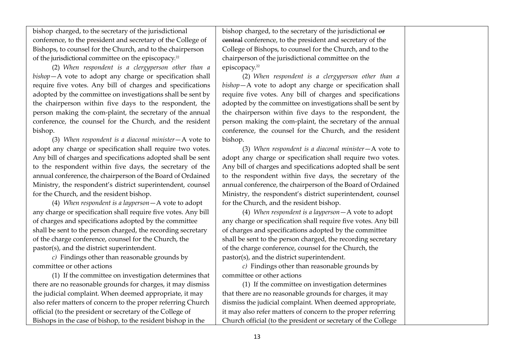bishop charged, to the secretary of the jurisdictional conference, to the president and secretary of the College of Bishops, to counsel for the Church, and to the chairperson of the jurisdictional committee on the episcopacy.<sup>22</sup>

(2) *When respondent is a clergyperson other than a bishop*—A vote to adopt any charge or specification shall require five votes. Any bill of charges and specifications adopted by the committee on investigations shall be sent by the chairperson within five days to the respondent, the person making the com-plaint, the secretary of the annual conference, the counsel for the Church, and the resident bishop.

(3) *When respondent is a diaconal minister*—A vote to adopt any charge or specification shall require two votes. Any bill of charges and specifications adopted shall be sent to the respondent within five days, the secretary of the annual conference, the chairperson of the Board of Ordained Ministry, the respondent's district superintendent, counsel for the Church, and the resident bishop.

(4) *When respondent is a layperson*—A vote to adopt any charge or specification shall require five votes. Any bill of charges and specifications adopted by the committee shall be sent to the person charged, the recording secretary of the charge conference, counsel for the Church, the pastor(s), and the district superintendent.

*c)* Findings other than reasonable grounds by committee or other actions

(1) If the committee on investigation determines that there are no reasonable grounds for charges, it may dismiss the judicial complaint. When deemed appropriate, it may also refer matters of concern to the proper referring Church official (to the president or secretary of the College of Bishops in the case of bishop, to the resident bishop in the

bishop charged, to the secretary of the jurisdictional or central conference, to the president and secretary of the College of Bishops, to counsel for the Church, and to the chairperson of the jurisdictional committee on the episcopacy. 22

(2) *When respondent is a clergyperson other than a bishop*—A vote to adopt any charge or specification shall require five votes. Any bill of charges and specifications adopted by the committee on investigations shall be sent by the chairperson within five days to the respondent, the person making the com-plaint, the secretary of the annual conference, the counsel for the Church, and the resident bishop.

(3) *When respondent is a diaconal minister*—A vote to adopt any charge or specification shall require two votes. Any bill of charges and specifications adopted shall be sent to the respondent within five days, the secretary of the annual conference, the chairperson of the Board of Ordained Ministry, the respondent's district superintendent, counsel for the Church, and the resident bishop.

(4) *When respondent is a layperson*—A vote to adopt any charge or specification shall require five votes. Any bill of charges and specifications adopted by the committee shall be sent to the person charged, the recording secretary of the charge conference, counsel for the Church, the pastor(s), and the district superintendent.

*c)* Findings other than reasonable grounds by committee or other actions

(1) If the committee on investigation determines that there are no reasonable grounds for charges, it may dismiss the judicial complaint. When deemed appropriate, it may also refer matters of concern to the proper referring Church official (to the president or secretary of the College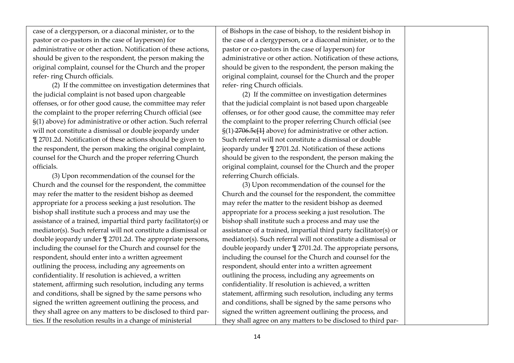case of a clergyperson, or a diaconal minister, or to the pastor or co-pastors in the case of layperson) for administrative or other action. Notification of these actions, should be given to the respondent, the person making the original complaint, counsel for the Church and the proper refer- ring Church officials.

(2) If the committee on investigation determines that the judicial complaint is not based upon chargeable offenses, or for other good cause, the committee may refer the complaint to the proper referring Church official (see §(1) above) for administrative or other action. Such referral will not constitute a dismissal or double jeopardy under ¶ 2701.2d. Notification of these actions should be given to the respondent, the person making the original complaint, counsel for the Church and the proper referring Church officials.

(3) Upon recommendation of the counsel for the Church and the counsel for the respondent, the committee may refer the matter to the resident bishop as deemed appropriate for a process seeking a just resolution. The bishop shall institute such a process and may use the assistance of a trained, impartial third party facilitator(s) or mediator(s). Such referral will not constitute a dismissal or double jeopardy under ¶ 2701.2d. The appropriate persons, including the counsel for the Church and counsel for the respondent, should enter into a written agreement outlining the process, including any agreements on confidentiality. If resolution is achieved, a written statement, affirming such resolution, including any terms and conditions, shall be signed by the same persons who signed the written agreement outlining the process, and they shall agree on any matters to be disclosed to third parties. If the resolution results in a change of ministerial

of Bishops in the case of bishop, to the resident bishop in the case of a clergyperson, or a diaconal minister, or to the pastor or co-pastors in the case of layperson) for administrative or other action. Notification of these actions, should be given to the respondent, the person making the original complaint, counsel for the Church and the proper refer- ring Church officials.

(2) If the committee on investigation determines that the judicial complaint is not based upon chargeable offenses, or for other good cause, the committee may refer the complaint to the proper referring Church official (see §(1) 2706.5c[1] above) for administrative or other action. Such referral will not constitute a dismissal or double jeopardy under ¶ 2701.2d. Notification of these actions should be given to the respondent, the person making the original complaint, counsel for the Church and the proper referring Church officials.

(3) Upon recommendation of the counsel for the Church and the counsel for the respondent, the committee may refer the matter to the resident bishop as deemed appropriate for a process seeking a just resolution. The bishop shall institute such a process and may use the assistance of a trained, impartial third party facilitator(s) or mediator(s). Such referral will not constitute a dismissal or double jeopardy under ¶ 2701.2d. The appropriate persons, including the counsel for the Church and counsel for the respondent, should enter into a written agreement outlining the process, including any agreements on confidentiality. If resolution is achieved, a written statement, affirming such resolution, including any terms and conditions, shall be signed by the same persons who signed the written agreement outlining the process, and they shall agree on any matters to be disclosed to third par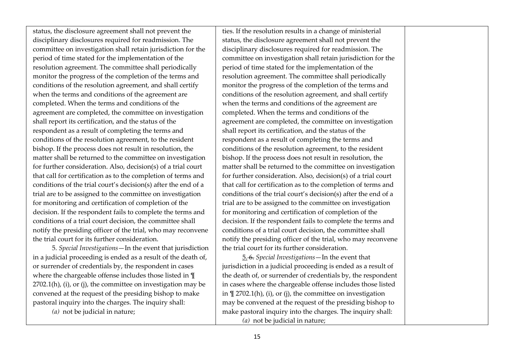status, the disclosure agreement shall not prevent the disciplinary disclosures required for readmission. The committee on investigation shall retain jurisdiction for the period of time stated for the implementation of the resolution agreement. The committee shall periodically monitor the progress of the completion of the terms and conditions of the resolution agreement, and shall certify when the terms and conditions of the agreement are completed. When the terms and conditions of the agreement are completed, the committee on investigation shall report its certification, and the status of the respondent as a result of completing the terms and conditions of the resolution agreement, to the resident bishop. If the process does not result in resolution, the matter shall be returned to the committee on investigation for further consideration. Also, decision(s) of a trial court that call for certification as to the completion of terms and conditions of the trial court's decision(s) after the end of a trial are to be assigned to the committee on investigation for monitoring and certification of completion of the decision. If the respondent fails to complete the terms and conditions of a trial court decision, the committee shall notify the presiding officer of the trial, who may reconvene the trial court for its further consideration.

5. *Special Investigations*—In the event that jurisdiction in a judicial proceeding is ended as a result of the death of, or surrender of credentials by, the respondent in cases where the chargeable offense includes those listed in ¶  $2702.1(h)$ , (i), or (j), the committee on investigation may be convened at the request of the presiding bishop to make pastoral inquiry into the charges. The inquiry shall:

*(a)* not be judicial in nature;

ties. If the resolution results in a change of ministerial status, the disclosure agreement shall not prevent the disciplinary disclosures required for readmission. The committee on investigation shall retain jurisdiction for the period of time stated for the implementation of the resolution agreement. The committee shall periodically monitor the progress of the completion of the terms and conditions of the resolution agreement, and shall certify when the terms and conditions of the agreement are completed. When the terms and conditions of the agreement are completed, the committee on investigation shall report its certification, and the status of the respondent as a result of completing the terms and conditions of the resolution agreement, to the resident bishop. If the process does not result in resolution, the matter shall be returned to the committee on investigation for further consideration. Also, decision(s) of a trial court that call for certification as to the completion of terms and conditions of the trial court's decision(s) after the end of a trial are to be assigned to the committee on investigation for monitoring and certification of completion of the decision. If the respondent fails to complete the terms and conditions of a trial court decision, the committee shall notify the presiding officer of the trial, who may reconvene the trial court for its further consideration.

5. 6. *Special Investigations*—In the event that jurisdiction in a judicial proceeding is ended as a result of the death of, or surrender of credentials by, the respondent in cases where the chargeable offense includes those listed in  $\P$  2702.1(h), (i), or (j), the committee on investigation may be convened at the request of the presiding bishop to make pastoral inquiry into the charges. The inquiry shall: *(a)* not be judicial in nature;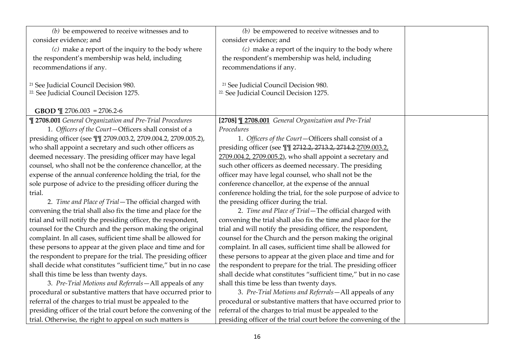| (b) be empowered to receive witnesses and to                      | (b) be empowered to receive witnesses and to                     |  |
|-------------------------------------------------------------------|------------------------------------------------------------------|--|
| consider evidence; and                                            | consider evidence; and                                           |  |
| $(c)$ make a report of the inquiry to the body where              | $(c)$ make a report of the inquiry to the body where             |  |
| the respondent's membership was held, including                   | the respondent's membership was held, including                  |  |
| recommendations if any.                                           | recommendations if any.                                          |  |
|                                                                   |                                                                  |  |
| <sup>21</sup> See Judicial Council Decision 980.                  | <sup>21</sup> See Judicial Council Decision 980.                 |  |
| <sup>22.</sup> See Judicial Council Decision 1275.                | <sup>22.</sup> See Judicial Council Decision 1275.               |  |
|                                                                   |                                                                  |  |
| GBOD $\text{T}$ 2706.003 = 2706.2-6                               |                                                                  |  |
| <b>I 2708.001</b> General Organization and Pre-Trial Procedures   | [2708] T 2708.001 General Organization and Pre-Trial             |  |
| 1. Officers of the Court-Officers shall consist of a              | Procedures                                                       |  |
| presiding officer (see \[[\] 2709.003.2, 2709.004.2, 2709.005.2), | 1. Officers of the Court-Officers shall consist of a             |  |
| who shall appoint a secretary and such other officers as          | presiding officer (see \[\] 2712.2, 2713.2, 2714.2-2709.003.2,   |  |
| deemed necessary. The presiding officer may have legal            | 2709.004.2, 2709.005.2), who shall appoint a secretary and       |  |
| counsel, who shall not be the conference chancellor, at the       | such other officers as deemed necessary. The presiding           |  |
| expense of the annual conference holding the trial, for the       | officer may have legal counsel, who shall not be the             |  |
| sole purpose of advice to the presiding officer during the        | conference chancellor, at the expense of the annual              |  |
| trial.                                                            | conference holding the trial, for the sole purpose of advice to  |  |
| 2. Time and Place of Trial-The official charged with              | the presiding officer during the trial.                          |  |
| convening the trial shall also fix the time and place for the     | 2. Time and Place of Trial-The official charged with             |  |
| trial and will notify the presiding officer, the respondent,      | convening the trial shall also fix the time and place for the    |  |
| counsel for the Church and the person making the original         | trial and will notify the presiding officer, the respondent,     |  |
| complaint. In all cases, sufficient time shall be allowed for     | counsel for the Church and the person making the original        |  |
| these persons to appear at the given place and time and for       | complaint. In all cases, sufficient time shall be allowed for    |  |
| the respondent to prepare for the trial. The presiding officer    | these persons to appear at the given place and time and for      |  |
| shall decide what constitutes "sufficient time," but in no case   | the respondent to prepare for the trial. The presiding officer   |  |
| shall this time be less than twenty days.                         | shall decide what constitutes "sufficient time," but in no case  |  |
| 3. Pre-Trial Motions and Referrals-All appeals of any             | shall this time be less than twenty days.                        |  |
| procedural or substantive matters that have occurred prior to     | 3. Pre-Trial Motions and Referrals-All appeals of any            |  |
| referral of the charges to trial must be appealed to the          | procedural or substantive matters that have occurred prior to    |  |
| presiding officer of the trial court before the convening of the  | referral of the charges to trial must be appealed to the         |  |
| trial. Otherwise, the right to appeal on such matters is          | presiding officer of the trial court before the convening of the |  |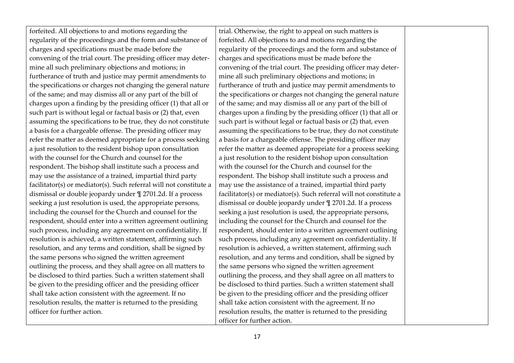forfeited. All objections to and motions regarding the regularity of the proceedings and the form and substance of charges and specifications must be made before the convening of the trial court. The presiding officer may determine all such preliminary objections and motions; in furtherance of truth and justice may permit amendments to the specifications or charges not changing the general nature of the same; and may dismiss all or any part of the bill of charges upon a finding by the presiding officer (1) that all or such part is without legal or factual basis or (2) that, even assuming the specifications to be true, they do not constitute a basis for a chargeable offense. The presiding officer may refer the matter as deemed appropriate for a process seeking a just resolution to the resident bishop upon consultation with the counsel for the Church and counsel for the respondent. The bishop shall institute such a process and may use the assistance of a trained, impartial third party facilitator(s) or mediator(s). Such referral will not constitute a dismissal or double jeopardy under ¶ 2701.2d. If a process seeking a just resolution is used, the appropriate persons, including the counsel for the Church and counsel for the respondent, should enter into a written agreement outlining such process, including any agreement on confidentiality. If resolution is achieved, a written statement, affirming such resolution, and any terms and condition, shall be signed by the same persons who signed the written agreement outlining the process, and they shall agree on all matters to be disclosed to third parties. Such a written statement shall be given to the presiding officer and the presiding officer shall take action consistent with the agreement. If no resolution results, the matter is returned to the presiding officer for further action.

trial. Otherwise, the right to appeal on such matters is forfeited. All objections to and motions regarding the regularity of the proceedings and the form and substance of charges and specifications must be made before the convening of the trial court. The presiding officer may determine all such preliminary objections and motions; in furtherance of truth and justice may permit amendments to the specifications or charges not changing the general nature of the same; and may dismiss all or any part of the bill of charges upon a finding by the presiding officer (1) that all or such part is without legal or factual basis or (2) that, even assuming the specifications to be true, they do not constitute a basis for a chargeable offense. The presiding officer may refer the matter as deemed appropriate for a process seeking a just resolution to the resident bishop upon consultation with the counsel for the Church and counsel for the respondent. The bishop shall institute such a process and may use the assistance of a trained, impartial third party facilitator(s) or mediator(s). Such referral will not constitute a dismissal or double jeopardy under ¶ 2701.2d. If a process seeking a just resolution is used, the appropriate persons, including the counsel for the Church and counsel for the respondent, should enter into a written agreement outlining such process, including any agreement on confidentiality. If resolution is achieved, a written statement, affirming such resolution, and any terms and condition, shall be signed by the same persons who signed the written agreement outlining the process, and they shall agree on all matters to be disclosed to third parties. Such a written statement shall be given to the presiding officer and the presiding officer shall take action consistent with the agreement. If no resolution results, the matter is returned to the presiding officer for further action.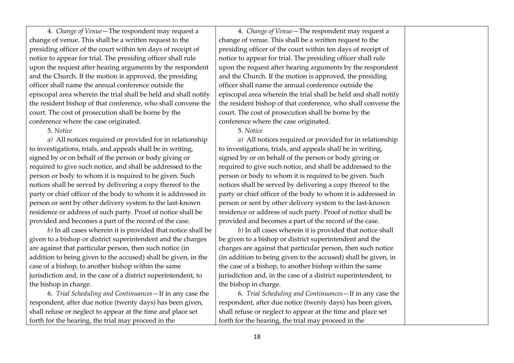4. *Change of Venue*—The respondent may request a change of venue. This shall be a written request to the presiding officer of the court within ten days of receipt of notice to appear for trial. The presiding officer shall rule upon the request after hearing arguments by the respondent and the Church. If the motion is approved, the presiding officer shall name the annual conference outside the episcopal area wherein the trial shall be held and shall notify the resident bishop of that conference, who shall convene the court. The cost of prosecution shall be borne by the conference where the case originated.

#### 5. *Notice*

*a)* All notices required or provided for in relationship to investigations, trials, and appeals shall be in writing, signed by or on behalf of the person or body giving or required to give such notice, and shall be addressed to the person or body to whom it is required to be given. Such notices shall be served by delivering a copy thereof to the party or chief officer of the body to whom it is addressed in person or sent by other delivery system to the last-known residence or address of such party. Proof of notice shall be provided and becomes a part of the record of the case.

*b)* In all cases wherein it is provided that notice shall be given to a bishop or district superintendent and the charges are against that particular person, then such notice (in addition to being given to the accused) shall be given, in the case of a bishop, to another bishop within the same jurisdiction and, in the case of a district superintendent, to the bishop in charge.

6. *Trial Scheduling and Continuances*—If in any case the respondent, after due notice (twenty days) has been given, shall refuse or neglect to appear at the time and place set forth for the hearing, the trial may proceed in the

4. *Change of Venue*—The respondent may request a change of venue. This shall be a written request to the presiding officer of the court within ten days of receipt of notice to appear for trial. The presiding officer shall rule upon the request after hearing arguments by the respondent and the Church. If the motion is approved, the presiding officer shall name the annual conference outside the episcopal area wherein the trial shall be held and shall notify the resident bishop of that conference, who shall convene the court. The cost of prosecution shall be borne by the conference where the case originated.

### 5. *Notice*

*a)* All notices required or provided for in relationship to investigations, trials, and appeals shall be in writing, signed by or on behalf of the person or body giving or required to give such notice, and shall be addressed to the person or body to whom it is required to be given. Such notices shall be served by delivering a copy thereof to the party or chief officer of the body to whom it is addressed in person or sent by other delivery system to the last-known residence or address of such party. Proof of notice shall be provided and becomes a part of the record of the case.

*b)* In all cases wherein it is provided that notice shall be given to a bishop or district superintendent and the charges are against that particular person, then such notice (in addition to being given to the accused) shall be given, in the case of a bishop, to another bishop within the same jurisdiction and, in the case of a district superintendent, to the bishop in charge.

6. *Trial Scheduling and Continuances*—If in any case the respondent, after due notice (twenty days) has been given, shall refuse or neglect to appear at the time and place set forth for the hearing, the trial may proceed in the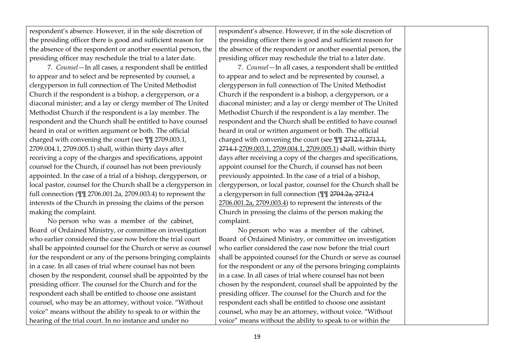respondent's absence. However, if in the sole discretion of the presiding officer there is good and sufficient reason for the absence of the respondent or another essential person, the presiding officer may reschedule the trial to a later date.

7. *Counsel*—In all cases, a respondent shall be entitled to appear and to select and be represented by counsel, a clergyperson in full connection of The United Methodist Church if the respondent is a bishop, a clergyperson, or a diaconal minister; and a lay or clergy member of The United Methodist Church if the respondent is a lay member. The respondent and the Church shall be entitled to have counsel heard in oral or written argument or both. The official charged with convening the court (see ¶¶ 2709.003.1, 2709.004.1, 2709.005.1) shall, within thirty days after receiving a copy of the charges and specifications, appoint counsel for the Church, if counsel has not been previously appointed. In the case of a trial of a bishop, clergyperson, or local pastor, counsel for the Church shall be a clergyperson in full connection (¶¶ 2706.001.2a, 2709.003.4) to represent the interests of the Church in pressing the claims of the person making the complaint.

No person who was a member of the cabinet, Board of Ordained Ministry, or committee on investigation who earlier considered the case now before the trial court shall be appointed counsel for the Church or serve as counsel for the respondent or any of the persons bringing complaints in a case. In all cases of trial where counsel has not been chosen by the respondent, counsel shall be appointed by the presiding officer. The counsel for the Church and for the respondent each shall be entitled to choose one assistant counsel, who may be an attorney, without voice. "Without voice" means without the ability to speak to or within the hearing of the trial court. In no instance and under no

respondent's absence. However, if in the sole discretion of the presiding officer there is good and sufficient reason for the absence of the respondent or another essential person, the presiding officer may reschedule the trial to a later date.

7. *Counsel*—In all cases, a respondent shall be entitled to appear and to select and be represented by counsel, a clergyperson in full connection of The United Methodist Church if the respondent is a bishop, a clergyperson, or a diaconal minister; and a lay or clergy member of The United Methodist Church if the respondent is a lay member. The respondent and the Church shall be entitled to have counsel heard in oral or written argument or both. The official charged with convening the court (see ¶¶ 2712.1, 2713.1, 2714.1 2709.003.1, 2709.004.1, 2709.005.1) shall, within thirty days after receiving a copy of the charges and specifications, appoint counsel for the Church, if counsel has not been previously appointed. In the case of a trial of a bishop, clergyperson, or local pastor, counsel for the Church shall be a clergyperson in full connection (¶¶ 2704.2a, 2712.4 2706.001.2a, 2709.003.4) to represent the interests of the Church in pressing the claims of the person making the complaint.

No person who was a member of the cabinet, Board of Ordained Ministry, or committee on investigation who earlier considered the case now before the trial court shall be appointed counsel for the Church or serve as counsel for the respondent or any of the persons bringing complaints in a case. In all cases of trial where counsel has not been chosen by the respondent, counsel shall be appointed by the presiding officer. The counsel for the Church and for the respondent each shall be entitled to choose one assistant counsel, who may be an attorney, without voice. "Without voice" means without the ability to speak to or within the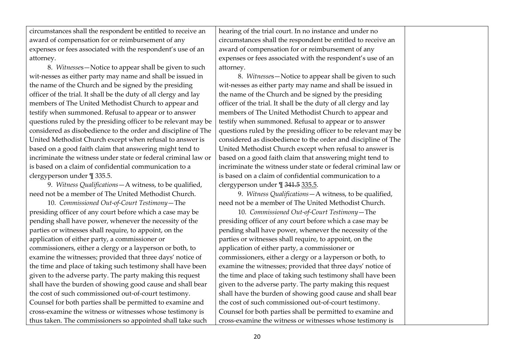circumstances shall the respondent be entitled to receive an award of compensation for or reimbursement of any expenses or fees associated with the respondent's use of an attorney.

8. *Witnesse*s—Notice to appear shall be given to such wit-nesses as either party may name and shall be issued in the name of the Church and be signed by the presiding officer of the trial. It shall be the duty of all clergy and lay members of The United Methodist Church to appear and testify when summoned. Refusal to appear or to answer questions ruled by the presiding officer to be relevant may be considered as disobedience to the order and discipline of The United Methodist Church except when refusal to answer is based on a good faith claim that answering might tend to incriminate the witness under state or federal criminal law or is based on a claim of confidential communication to a clergyperson under ¶ 335.5.

9. *Witness Qualifications*—A witness, to be qualified, need not be a member of The United Methodist Church.

10. *Commissioned Out-of-Court Testimony*—The presiding officer of any court before which a case may be pending shall have power, whenever the necessity of the parties or witnesses shall require, to appoint, on the application of either party, a commissioner or commissioners, either a clergy or a layperson or both, to examine the witnesses; provided that three days' notice of the time and place of taking such testimony shall have been given to the adverse party. The party making this request shall have the burden of showing good cause and shall bear the cost of such commissioned out-of-court testimony. Counsel for both parties shall be permitted to examine and cross-examine the witness or witnesses whose testimony is thus taken. The commissioners so appointed shall take such hearing of the trial court. In no instance and under no circumstances shall the respondent be entitled to receive an award of compensation for or reimbursement of any expenses or fees associated with the respondent's use of an attorney.

8. *Witnesse*s—Notice to appear shall be given to such wit-nesses as either party may name and shall be issued in the name of the Church and be signed by the presiding officer of the trial. It shall be the duty of all clergy and lay members of The United Methodist Church to appear and testify when summoned. Refusal to appear or to answer questions ruled by the presiding officer to be relevant may be considered as disobedience to the order and discipline of The United Methodist Church except when refusal to answer is based on a good faith claim that answering might tend to incriminate the witness under state or federal criminal law or is based on a claim of confidential communication to a clergyperson under ¶ 341.5 335.5.

9. *Witness Qualifications*—A witness, to be qualified, need not be a member of The United Methodist Church.

10. *Commissioned Out-of-Court Testimony*—The presiding officer of any court before which a case may be pending shall have power, whenever the necessity of the parties or witnesses shall require, to appoint, on the application of either party, a commissioner or commissioners, either a clergy or a layperson or both, to examine the witnesses; provided that three days' notice of the time and place of taking such testimony shall have been given to the adverse party. The party making this request shall have the burden of showing good cause and shall bear the cost of such commissioned out-of-court testimony. Counsel for both parties shall be permitted to examine and cross-examine the witness or witnesses whose testimony is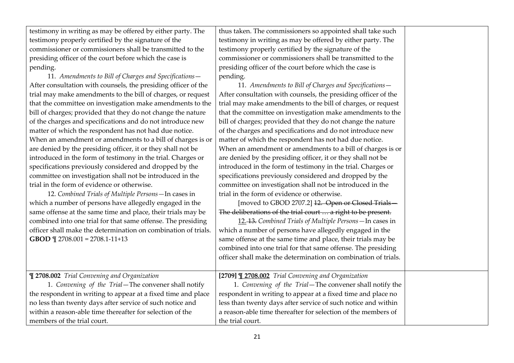testimony in writing as may be offered by either party. The testimony properly certified by the signature of the commissioner or commissioners shall be transmitted to the presiding officer of the court before which the case is pending.

11. *Amendments to Bill of Charges and Specifications*— After consultation with counsels, the presiding officer of the trial may make amendments to the bill of charges, or request that the committee on investigation make amendments to the bill of charges; provided that they do not change the nature of the charges and specifications and do not introduce new matter of which the respondent has not had due notice. When an amendment or amendments to a bill of charges is or are denied by the presiding officer, it or they shall not be introduced in the form of testimony in the trial. Charges or specifications previously considered and dropped by the committee on investigation shall not be introduced in the trial in the form of evidence or otherwise.

12. *Combined Trials of Multiple Persons—*In cases in which a number of persons have allegedly engaged in the same offense at the same time and place, their trials may be combined into one trial for that same offense. The presiding officer shall make the determination on combination of trials. **GBOD** ¶ 2708.001 = 2708.1-11+13

**¶ 2708.002** *Trial Convening and Organization*

1. *Convening of the Trial*—The convener shall notify the respondent in writing to appear at a fixed time and place no less than twenty days after service of such notice and within a reason-able time thereafter for selection of the members of the trial court.

thus taken. The commissioners so appointed shall take such testimony in writing as may be offered by either party. The testimony properly certified by the signature of the commissioner or commissioners shall be transmitted to the presiding officer of the court before which the case is pending.

12. 13. *Combined Trials of Multiple Persons—*In cases in which a number of persons have allegedly engaged in the same offense at the same time and place, their trials may be combined into one trial for that same offense. The presiding officer shall make the determination on combination of trials.

**[2709] ¶ 2708.002** *Trial Convening and Organization* 1. *Convening of the Trial*—The convener shall notify the respondent in writing to appear at a fixed time and place no less than twenty days after service of such notice and within a reason-able time thereafter for selection of the members of the trial court.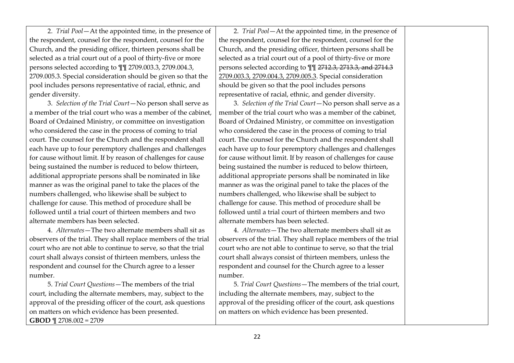2. *Trial Pool*—At the appointed time, in the presence of the respondent, counsel for the respondent, counsel for the Church, and the presiding officer, thirteen persons shall be selected as a trial court out of a pool of thirty-five or more persons selected according to ¶¶ 2709.003.3, 2709.004.3, 2709.005.3. Special consideration should be given so that the pool includes persons representative of racial, ethnic, and gender diversity.

3. *Selection of the Trial Court*—No person shall serve as a member of the trial court who was a member of the cabinet, Board of Ordained Ministry, or committee on investigation who considered the case in the process of coming to trial court. The counsel for the Church and the respondent shall each have up to four peremptory challenges and challenges for cause without limit. If by reason of challenges for cause being sustained the number is reduced to below thirteen, additional appropriate persons shall be nominated in like manner as was the original panel to take the places of the numbers challenged, who likewise shall be subject to challenge for cause. This method of procedure shall be followed until a trial court of thirteen members and two alternate members has been selected.

4. *Alternates*—The two alternate members shall sit as observers of the trial. They shall replace members of the trial court who are not able to continue to serve, so that the trial court shall always consist of thirteen members, unless the respondent and counsel for the Church agree to a lesser number.

5. *Trial Court Questions*—The members of the trial court, including the alternate members, may, subject to the approval of the presiding officer of the court, ask questions on matters on which evidence has been presented. **GBOD** ¶ 2708.002 = 2709

2. *Trial Pool*—At the appointed time, in the presence of the respondent, counsel for the respondent, counsel for the Church, and the presiding officer, thirteen persons shall be selected as a trial court out of a pool of thirty-five or more persons selected according to ¶¶ 2712.3, 2713.3, and 2714.3 2709.003.3, 2709.004.3, 2709.005.3. Special consideration should be given so that the pool includes persons representative of racial, ethnic, and gender diversity.

3. *Selection of the Trial Court*—No person shall serve as a member of the trial court who was a member of the cabinet, Board of Ordained Ministry, or committee on investigation who considered the case in the process of coming to trial court. The counsel for the Church and the respondent shall each have up to four peremptory challenges and challenges for cause without limit. If by reason of challenges for cause being sustained the number is reduced to below thirteen, additional appropriate persons shall be nominated in like manner as was the original panel to take the places of the numbers challenged, who likewise shall be subject to challenge for cause. This method of procedure shall be followed until a trial court of thirteen members and two alternate members has been selected.

4. *Alternates*—The two alternate members shall sit as observers of the trial. They shall replace members of the trial court who are not able to continue to serve, so that the trial court shall always consist of thirteen members, unless the respondent and counsel for the Church agree to a lesser number.

5. *Trial Court Questions*—The members of the trial court, including the alternate members, may, subject to the approval of the presiding officer of the court, ask questions on matters on which evidence has been presented.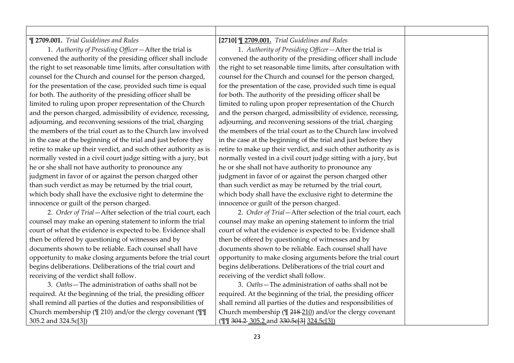| <b>T</b> 2709.001. Trial Guidelines and Rules                    | [2710] <b>[ 2709.001.</b> Trial Guidelines and Rules             |  |
|------------------------------------------------------------------|------------------------------------------------------------------|--|
| 1. Authority of Presiding Officer-After the trial is             | 1. Authority of Presiding Officer-After the trial is             |  |
| convened the authority of the presiding officer shall include    | convened the authority of the presiding officer shall include    |  |
| the right to set reasonable time limits, after consultation with | the right to set reasonable time limits, after consultation with |  |
| counsel for the Church and counsel for the person charged,       | counsel for the Church and counsel for the person charged,       |  |
| for the presentation of the case, provided such time is equal    | for the presentation of the case, provided such time is equal    |  |
| for both. The authority of the presiding officer shall be        | for both. The authority of the presiding officer shall be        |  |
| limited to ruling upon proper representation of the Church       | limited to ruling upon proper representation of the Church       |  |
| and the person charged, admissibility of evidence, recessing,    | and the person charged, admissibility of evidence, recessing,    |  |
| adjourning, and reconvening sessions of the trial, charging      | adjourning, and reconvening sessions of the trial, charging      |  |
| the members of the trial court as to the Church law involved     | the members of the trial court as to the Church law involved     |  |
| in the case at the beginning of the trial and just before they   | in the case at the beginning of the trial and just before they   |  |
| retire to make up their verdict, and such other authority as is  | retire to make up their verdict, and such other authority as is  |  |
| normally vested in a civil court judge sitting with a jury, but  | normally vested in a civil court judge sitting with a jury, but  |  |
| he or she shall not have authority to pronounce any              | he or she shall not have authority to pronounce any              |  |
| judgment in favor of or against the person charged other         | judgment in favor of or against the person charged other         |  |
| than such verdict as may be returned by the trial court,         | than such verdict as may be returned by the trial court,         |  |
| which body shall have the exclusive right to determine the       | which body shall have the exclusive right to determine the       |  |
| innocence or guilt of the person charged.                        | innocence or guilt of the person charged.                        |  |
| 2. Order of Trial-After selection of the trial court, each       | 2. Order of Trial-After selection of the trial court, each       |  |
| counsel may make an opening statement to inform the trial        | counsel may make an opening statement to inform the trial        |  |
| court of what the evidence is expected to be. Evidence shall     | court of what the evidence is expected to be. Evidence shall     |  |
| then be offered by questioning of witnesses and by               | then be offered by questioning of witnesses and by               |  |
| documents shown to be reliable. Each counsel shall have          | documents shown to be reliable. Each counsel shall have          |  |
| opportunity to make closing arguments before the trial court     | opportunity to make closing arguments before the trial court     |  |
| begins deliberations. Deliberations of the trial court and       | begins deliberations. Deliberations of the trial court and       |  |
| receiving of the verdict shall follow.                           | receiving of the verdict shall follow.                           |  |
| 3. Oaths-The administration of oaths shall not be                | 3. Oaths-The administration of oaths shall not be                |  |
| required. At the beginning of the trial, the presiding officer   | required. At the beginning of the trial, the presiding officer   |  |
| shall remind all parties of the duties and responsibilities of   | shall remind all parties of the duties and responsibilities of   |  |
| Church membership (1 210) and/or the clergy covenant (11         | Church membership (¶ 218-210) and/or the clergy covenant         |  |
| 305.2 and 324.5c[3])                                             | (II 304.2 305.2 and 330.5c[3] 324.5c[3])                         |  |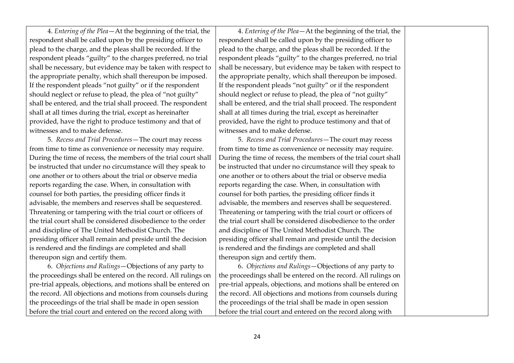4. *Entering of the Plea*—At the beginning of the trial, the respondent shall be called upon by the presiding officer to plead to the charge, and the pleas shall be recorded. If the respondent pleads "guilty" to the charges preferred, no trial shall be necessary, but evidence may be taken with respect to the appropriate penalty, which shall thereupon be imposed. If the respondent pleads "not guilty" or if the respondent should neglect or refuse to plead, the plea of "not guilty" shall be entered, and the trial shall proceed. The respondent shall at all times during the trial, except as hereinafter provided, have the right to produce testimony and that of witnesses and to make defense.

5. *Recess and Trial Procedures*—The court may recess from time to time as convenience or necessity may require. During the time of recess, the members of the trial court shall be instructed that under no circumstance will they speak to one another or to others about the trial or observe media reports regarding the case. When, in consultation with counsel for both parties, the presiding officer finds it advisable, the members and reserves shall be sequestered. Threatening or tampering with the trial court or officers of the trial court shall be considered disobedience to the order and discipline of The United Methodist Church. The presiding officer shall remain and preside until the decision is rendered and the findings are completed and shall thereupon sign and certify them.

6. *Objections and Rulings*—Objections of any party to the proceedings shall be entered on the record. All rulings on pre-trial appeals, objections, and motions shall be entered on the record. All objections and motions from counsels during the proceedings of the trial shall be made in open session before the trial court and entered on the record along with

4. *Entering of the Plea*—At the beginning of the trial, the respondent shall be called upon by the presiding officer to plead to the charge, and the pleas shall be recorded. If the respondent pleads "guilty" to the charges preferred, no trial shall be necessary, but evidence may be taken with respect to the appropriate penalty, which shall thereupon be imposed. If the respondent pleads "not guilty" or if the respondent should neglect or refuse to plead, the plea of "not guilty" shall be entered, and the trial shall proceed. The respondent shall at all times during the trial, except as hereinafter provided, have the right to produce testimony and that of witnesses and to make defense.

5. *Recess and Trial Procedures*—The court may recess from time to time as convenience or necessity may require. During the time of recess, the members of the trial court shall be instructed that under no circumstance will they speak to one another or to others about the trial or observe media reports regarding the case. When, in consultation with counsel for both parties, the presiding officer finds it advisable, the members and reserves shall be sequestered. Threatening or tampering with the trial court or officers of the trial court shall be considered disobedience to the order and discipline of The United Methodist Church. The presiding officer shall remain and preside until the decision is rendered and the findings are completed and shall thereupon sign and certify them.

6. *Objections and Rulings*—Objections of any party to the proceedings shall be entered on the record. All rulings on pre-trial appeals, objections, and motions shall be entered on the record. All objections and motions from counsels during the proceedings of the trial shall be made in open session before the trial court and entered on the record along with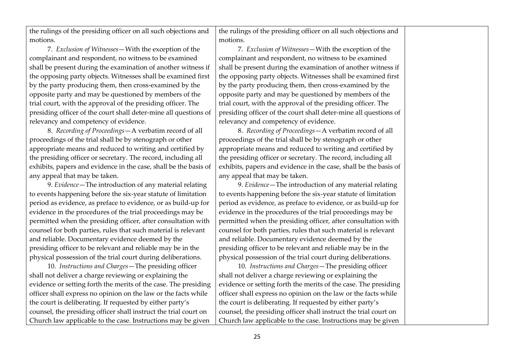the rulings of the presiding officer on all such objections and motions.

7. *Exclusion of Witnesses*—With the exception of the complainant and respondent, no witness to be examined shall be present during the examination of another witness if the opposing party objects. Witnesses shall be examined first by the party producing them, then cross-examined by the opposite party and may be questioned by members of the trial court, with the approval of the presiding officer. The presiding officer of the court shall deter-mine all questions of relevancy and competency of evidence.

8. *Recording of Proceedings*—A verbatim record of all proceedings of the trial shall be by stenograph or other appropriate means and reduced to writing and certified by the presiding officer or secretary. The record, including all exhibits, papers and evidence in the case, shall be the basis of any appeal that may be taken.

9. *Evidence*—The introduction of any material relating to events happening before the six-year statute of limitation period as evidence, as preface to evidence, or as build-up for evidence in the procedures of the trial proceedings may be permitted when the presiding officer, after consultation with counsel for both parties, rules that such material is relevant and reliable. Documentary evidence deemed by the presiding officer to be relevant and reliable may be in the physical possession of the trial court during deliberations.

10. *Instructions and Charges*—The presiding officer shall not deliver a charge reviewing or explaining the evidence or setting forth the merits of the case. The presiding officer shall express no opinion on the law or the facts while the court is deliberating. If requested by either party's counsel, the presiding officer shall instruct the trial court on Church law applicable to the case. Instructions may be given

the rulings of the presiding officer on all such objections and motions.

7. *Exclusion of Witnesses*—With the exception of the complainant and respondent, no witness to be examined shall be present during the examination of another witness if the opposing party objects. Witnesses shall be examined first by the party producing them, then cross-examined by the opposite party and may be questioned by members of the trial court, with the approval of the presiding officer. The presiding officer of the court shall deter-mine all questions of relevancy and competency of evidence.

8. *Recording of Proceedings*—A verbatim record of all proceedings of the trial shall be by stenograph or other appropriate means and reduced to writing and certified by the presiding officer or secretary. The record, including all exhibits, papers and evidence in the case, shall be the basis of any appeal that may be taken.

9. *Evidence*—The introduction of any material relating to events happening before the six-year statute of limitation period as evidence, as preface to evidence, or as build-up for evidence in the procedures of the trial proceedings may be permitted when the presiding officer, after consultation with counsel for both parties, rules that such material is relevant and reliable. Documentary evidence deemed by the presiding officer to be relevant and reliable may be in the physical possession of the trial court during deliberations.

10. *Instructions and Charges*—The presiding officer shall not deliver a charge reviewing or explaining the evidence or setting forth the merits of the case. The presiding officer shall express no opinion on the law or the facts while the court is deliberating. If requested by either party's counsel, the presiding officer shall instruct the trial court on Church law applicable to the case. Instructions may be given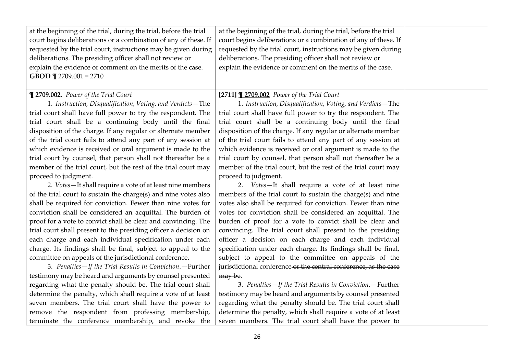| at the beginning of the trial, during the trial, before the trial | at the beginning of the trial, during the trial, before the trial |  |
|-------------------------------------------------------------------|-------------------------------------------------------------------|--|
| court begins deliberations or a combination of any of these. If   | court begins deliberations or a combination of any of these. If   |  |
|                                                                   |                                                                   |  |
| requested by the trial court, instructions may be given during    | requested by the trial court, instructions may be given during    |  |
| deliberations. The presiding officer shall not review or          | deliberations. The presiding officer shall not review or          |  |
| explain the evidence or comment on the merits of the case.        | explain the evidence or comment on the merits of the case.        |  |
| GBOD $\parallel$ 2709.001 = 2710                                  |                                                                   |  |
|                                                                   |                                                                   |  |
| <b>Il</b> 2709.002. Power of the Trial Court                      | [2711] <b>[ 2709.002</b> Power of the Trial Court                 |  |
| 1. Instruction, Disqualification, Voting, and Verdicts-The        | 1. Instruction, Disqualification, Voting, and Verdicts-The        |  |
| trial court shall have full power to try the respondent. The      | trial court shall have full power to try the respondent. The      |  |
| trial court shall be a continuing body until the final            | trial court shall be a continuing body until the final            |  |
| disposition of the charge. If any regular or alternate member     | disposition of the charge. If any regular or alternate member     |  |
| of the trial court fails to attend any part of any session at     | of the trial court fails to attend any part of any session at     |  |
| which evidence is received or oral argument is made to the        | which evidence is received or oral argument is made to the        |  |
| trial court by counsel, that person shall not thereafter be a     | trial court by counsel, that person shall not thereafter be a     |  |
| member of the trial court, but the rest of the trial court may    | member of the trial court, but the rest of the trial court may    |  |
| proceed to judgment.                                              | proceed to judgment.                                              |  |
| 2. Votes-It shall require a vote of at least nine members         | 2. Votes-It shall require a vote of at least nine                 |  |
| of the trial court to sustain the charge(s) and nine votes also   | members of the trial court to sustain the charge(s) and nine      |  |
| shall be required for conviction. Fewer than nine votes for       | votes also shall be required for conviction. Fewer than nine      |  |
| conviction shall be considered an acquittal. The burden of        | votes for conviction shall be considered an acquittal. The        |  |
| proof for a vote to convict shall be clear and convincing. The    | burden of proof for a vote to convict shall be clear and          |  |
| trial court shall present to the presiding officer a decision on  | convincing. The trial court shall present to the presiding        |  |
| each charge and each individual specification under each          | officer a decision on each charge and each individual             |  |
| charge. Its findings shall be final, subject to appeal to the     | specification under each charge. Its findings shall be final,     |  |
| committee on appeals of the jurisdictional conference.            | subject to appeal to the committee on appeals of the              |  |
| 3. Penalties-If the Trial Results in Conviction.-Further          | jurisdictional conference or the central conference, as the case  |  |
| testimony may be heard and arguments by counsel presented         | may be.                                                           |  |
| regarding what the penalty should be. The trial court shall       | 3. Penalties-If the Trial Results in Conviction.-Further          |  |
| determine the penalty, which shall require a vote of at least     | testimony may be heard and arguments by counsel presented         |  |
| seven members. The trial court shall have the power to            | regarding what the penalty should be. The trial court shall       |  |
| remove the respondent from professing membership,                 | determine the penalty, which shall require a vote of at least     |  |
| terminate the conference membership, and revoke the               | seven members. The trial court shall have the power to            |  |
|                                                                   |                                                                   |  |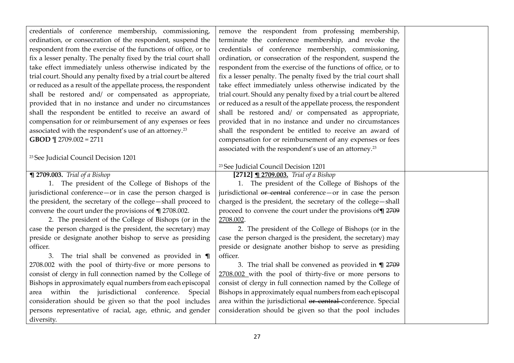| credentials of conference membership, commissioning,               | remove the respondent from professing membership,                  |  |
|--------------------------------------------------------------------|--------------------------------------------------------------------|--|
| ordination, or consecration of the respondent, suspend the         | terminate the conference membership, and revoke the                |  |
| respondent from the exercise of the functions of office, or to     | credentials of conference membership, commissioning,               |  |
| fix a lesser penalty. The penalty fixed by the trial court shall   | ordination, or consecration of the respondent, suspend the         |  |
| take effect immediately unless otherwise indicated by the          | respondent from the exercise of the functions of office, or to     |  |
| trial court. Should any penalty fixed by a trial court be altered  | fix a lesser penalty. The penalty fixed by the trial court shall   |  |
| or reduced as a result of the appellate process, the respondent    | take effect immediately unless otherwise indicated by the          |  |
| shall be restored and/ or compensated as appropriate,              | trial court. Should any penalty fixed by a trial court be altered  |  |
| provided that in no instance and under no circumstances            | or reduced as a result of the appellate process, the respondent    |  |
| shall the respondent be entitled to receive an award of            | shall be restored and/ or compensated as appropriate,              |  |
| compensation for or reimbursement of any expenses or fees          | provided that in no instance and under no circumstances            |  |
| associated with the respondent's use of an attorney. <sup>23</sup> | shall the respondent be entitled to receive an award of            |  |
| <b>GBOD</b> $\mathbb{I}$ 2709.002 = 2711                           | compensation for or reimbursement of any expenses or fees          |  |
|                                                                    | associated with the respondent's use of an attorney. <sup>23</sup> |  |
| <sup>23</sup> See Judicial Council Decision 1201                   |                                                                    |  |
|                                                                    | <sup>23</sup> See Judicial Council Decision 1201                   |  |
| <b>1 2709.003.</b> Trial of a Bishop                               | [2712] <b>[2709.003.</b> Trial of a Bishop                         |  |
| 1. The president of the College of Bishops of the                  | 1. The president of the College of Bishops of the                  |  |
| jurisdictional conference-or in case the person charged is         | jurisdictional or central conference - or in case the person       |  |
| the president, the secretary of the college-shall proceed to       | charged is the president, the secretary of the college-shall       |  |
| convene the court under the provisions of $\P$ 2708.002.           | proceed to convene the court under the provisions of <b>1</b> 2709 |  |
| 2. The president of the College of Bishops (or in the              | 2708.002                                                           |  |
| case the person charged is the president, the secretary) may       | 2. The president of the College of Bishops (or in the              |  |
| preside or designate another bishop to serve as presiding          | case the person charged is the president, the secretary) may       |  |
| officer.                                                           | preside or designate another bishop to serve as presiding          |  |
| The trial shall be convened as provided in ¶<br>3.                 | officer.                                                           |  |
| 2708.002 with the pool of thirty-five or more persons to           | 3. The trial shall be convened as provided in $\P$ 2709            |  |
| consist of clergy in full connection named by the College of       | 2708.002 with the pool of thirty-five or more persons to           |  |
| Bishops in approximately equal numbers from each episcopal         | consist of clergy in full connection named by the College of       |  |
| area within the jurisdictional conference. Special                 | Bishops in approximately equal numbers from each episcopal         |  |
| consideration should be given so that the pool includes            | area within the jurisdictional or central conference. Special      |  |
| persons representative of racial, age, ethnic, and gender          | consideration should be given so that the pool includes            |  |
| diversity.                                                         |                                                                    |  |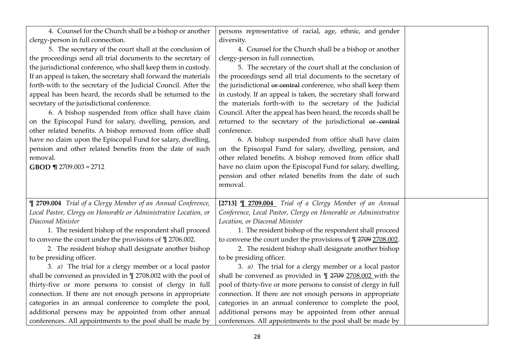| 4. Counsel for the Church shall be a bishop or another<br>clergy-person in full connection.<br>5. The secretary of the court shall at the conclusion of<br>the proceedings send all trial documents to the secretary of<br>the jurisdictional conference, who shall keep them in custody.<br>If an appeal is taken, the secretary shall forward the materials<br>forth-with to the secretary of the Judicial Council. After the<br>appeal has been heard, the records shall be returned to the<br>secretary of the jurisdictional conference.<br>6. A bishop suspended from office shall have claim<br>on the Episcopal Fund for salary, dwelling, pension, and<br>other related benefits. A bishop removed from office shall<br>have no claim upon the Episcopal Fund for salary, dwelling,<br>pension and other related benefits from the date of such<br>removal.<br>GBOD ¶ $2709.003 = 2712$ | persons representative of racial, age, ethnic, and gender<br>diversity.<br>4. Counsel for the Church shall be a bishop or another<br>clergy-person in full connection.<br>5. The secretary of the court shall at the conclusion of<br>the proceedings send all trial documents to the secretary of<br>the jurisdictional or central conference, who shall keep them<br>in custody. If an appeal is taken, the secretary shall forward<br>the materials forth-with to the secretary of the Judicial<br>Council. After the appeal has been heard, the records shall be<br>returned to the secretary of the jurisdictional or central<br>conference.<br>6. A bishop suspended from office shall have claim<br>on the Episcopal Fund for salary, dwelling, pension, and<br>other related benefits. A bishop removed from office shall<br>have no claim upon the Episcopal Fund for salary, dwelling,<br>pension and other related benefits from the date of such<br>removal. |  |
|--------------------------------------------------------------------------------------------------------------------------------------------------------------------------------------------------------------------------------------------------------------------------------------------------------------------------------------------------------------------------------------------------------------------------------------------------------------------------------------------------------------------------------------------------------------------------------------------------------------------------------------------------------------------------------------------------------------------------------------------------------------------------------------------------------------------------------------------------------------------------------------------------|--------------------------------------------------------------------------------------------------------------------------------------------------------------------------------------------------------------------------------------------------------------------------------------------------------------------------------------------------------------------------------------------------------------------------------------------------------------------------------------------------------------------------------------------------------------------------------------------------------------------------------------------------------------------------------------------------------------------------------------------------------------------------------------------------------------------------------------------------------------------------------------------------------------------------------------------------------------------------|--|
| Il 2709.004 Trial of a Clergy Member of an Annual Conference,<br>Local Pastor, Clergy on Honorable or Administrative Location, or<br>Diaconal Minister<br>1. The resident bishop of the respondent shall proceed<br>to convene the court under the provisions of $\mathbb{I}$ 2706.002.<br>2. The resident bishop shall designate another bishop<br>to be presiding officer.<br>3. $a)$ The trial for a clergy member or a local pastor<br>shall be convened as provided in $\P$ 2708.002 with the pool of<br>thirty-five or more persons to consist of clergy in full<br>connection. If there are not enough persons in appropriate<br>categories in an annual conference to complete the pool,<br>additional persons may be appointed from other annual<br>conferences. All appointments to the pool shall be made by                                                                          | [2713] <b>[ 2709.004</b> Trial of a Clergy Member of an Annual<br>Conference, Local Pastor, Clergy on Honorable or Administrative<br>Location, or Diaconal Minister<br>1. The resident bishop of the respondent shall proceed<br>to convene the court under the provisions of $\frac{9}{2709}$ 2708.002.<br>2. The resident bishop shall designate another bishop<br>to be presiding officer.<br>3. $a)$ The trial for a clergy member or a local pastor<br>shall be convened as provided in $\frac{9}{4}$ 2709 2708.002 with the<br>pool of thirty-five or more persons to consist of clergy in full<br>connection. If there are not enough persons in appropriate<br>categories in an annual conference to complete the pool,<br>additional persons may be appointed from other annual<br>conferences. All appointments to the pool shall be made by                                                                                                                   |  |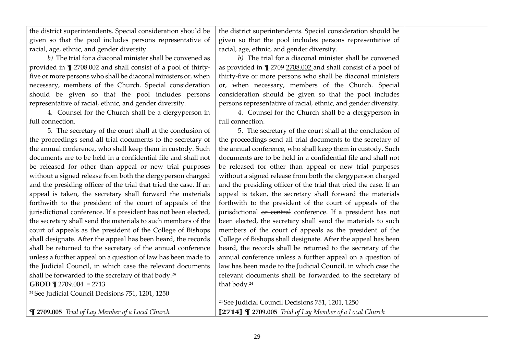the district superintendents. Special consideration should be given so that the pool includes persons representative of racial, age, ethnic, and gender diversity.

*b)* The trial for a diaconal minister shall be convened as provided in ¶ 2708.002 and shall consist of a pool of thirtyfive or more persons who shall be diaconal ministers or, when necessary, members of the Church. Special consideration should be given so that the pool includes persons representative of racial, ethnic, and gender diversity.

4. Counsel for the Church shall be a clergyperson in full connection.

5. The secretary of the court shall at the conclusion of the proceedings send all trial documents to the secretary of the annual conference, who shall keep them in custody. Such documents are to be held in a confidential file and shall not be released for other than appeal or new trial purposes without a signed release from both the clergyperson charged and the presiding officer of the trial that tried the case. If an appeal is taken, the secretary shall forward the materials forthwith to the president of the court of appeals of the jurisdictional conference. If a president has not been elected, the secretary shall send the materials to such members of the court of appeals as the president of the College of Bishops shall designate. After the appeal has been heard, the records shall be returned to the secretary of the annual conference unless a further appeal on a question of law has been made to the Judicial Council, in which case the relevant documents shall be forwarded to the secretary of that body.<sup>24</sup> **GBOD** ¶ 2709.004 = 2713

<sup>24</sup>See Judicial Council Decisions 751, 1201, 1250

**¶ 2709.005** *Trial of Lay Member of a Local Church* **[2714] ¶ 2709.005** *Trial of Lay Member of a Local Church*

the district superintendents. Special consideration should be given so that the pool includes persons representative of racial, age, ethnic, and gender diversity.

*b)* The trial for a diaconal minister shall be convened as provided in ¶ 2709 2708.002 and shall consist of a pool of thirty-five or more persons who shall be diaconal ministers or, when necessary, members of the Church. Special consideration should be given so that the pool includes persons representative of racial, ethnic, and gender diversity.

4. Counsel for the Church shall be a clergyperson in full connection.

5. The secretary of the court shall at the conclusion of the proceedings send all trial documents to the secretary of the annual conference, who shall keep them in custody. Such documents are to be held in a confidential file and shall not be released for other than appeal or new trial purposes without a signed release from both the clergyperson charged and the presiding officer of the trial that tried the case. If an appeal is taken, the secretary shall forward the materials forthwith to the president of the court of appeals of the jurisdictional <del>or central</del> conference. If a president has not been elected, the secretary shall send the materials to such members of the court of appeals as the president of the College of Bishops shall designate. After the appeal has been heard, the records shall be returned to the secretary of the annual conference unless a further appeal on a question of law has been made to the Judicial Council, in which case the relevant documents shall be forwarded to the secretary of that body.<sup>24</sup> <sup>24</sup>See Judicial Council Decisions 751, 1201, 1250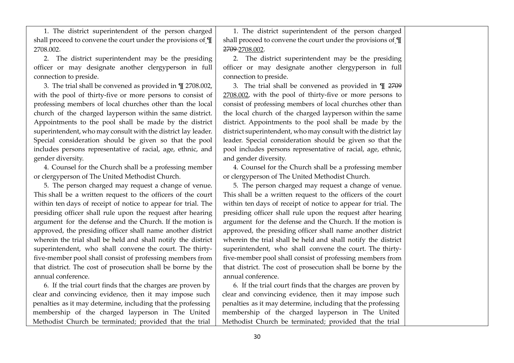1. The district superintendent of the person charged shall proceed to convene the court under the provisions of  $\P$ 2708.002.

2. The district superintendent may be the presiding officer or may designate another clergyperson in full connection to preside.

3. The trial shall be convened as provided in ¶ 2708.002, with the pool of thirty-five or more persons to consist of professing members of local churches other than the local church of the charged layperson within the same district. Appointments to the pool shall be made by the district superintendent, who may consult with the district lay leader. Special consideration should be given so that the pool includes persons representative of racial, age, ethnic, and gender diversity.

4. Counsel for the Church shall be a professing member or clergyperson of The United Methodist Church.

5. The person charged may request a change of venue. This shall be a written request to the officers of the court within ten days of receipt of notice to appear for trial. The presiding officer shall rule upon the request after hearing argument for the defense and the Church. If the motion is approved, the presiding officer shall name another district wherein the trial shall be held and shall notify the district superintendent, who shall convene the court. The thirtyfive-member pool shall consist of professing members from that district. The cost of prosecution shall be borne by the annual conference.

6. If the trial court finds that the charges are proven by clear and convincing evidence, then it may impose such penalties as it may determine, including that the professing membership of the charged layperson in The United Methodist Church be terminated; provided that the trial

1. The district superintendent of the person charged shall proceed to convene the court under the provisions of ¶ 2709 2708.002.

2. The district superintendent may be the presiding officer or may designate another clergyperson in full connection to preside.

3. The trial shall be convened as provided in ¶ 2709 2708.002, with the pool of thirty-five or more persons to consist of professing members of local churches other than the local church of the charged layperson within the same district. Appointments to the pool shall be made by the district superintendent, who may consult with the district lay leader. Special consideration should be given so that the pool includes persons representative of racial, age, ethnic, and gender diversity.

4. Counsel for the Church shall be a professing member or clergyperson of The United Methodist Church.

5. The person charged may request a change of venue. This shall be a written request to the officers of the court within ten days of receipt of notice to appear for trial. The presiding officer shall rule upon the request after hearing argument for the defense and the Church. If the motion is approved, the presiding officer shall name another district wherein the trial shall be held and shall notify the district superintendent, who shall convene the court. The thirtyfive-member pool shall consist of professing members from that district. The cost of prosecution shall be borne by the annual conference.

6. If the trial court finds that the charges are proven by clear and convincing evidence, then it may impose such penalties as it may determine, including that the professing membership of the charged layperson in The United Methodist Church be terminated; provided that the trial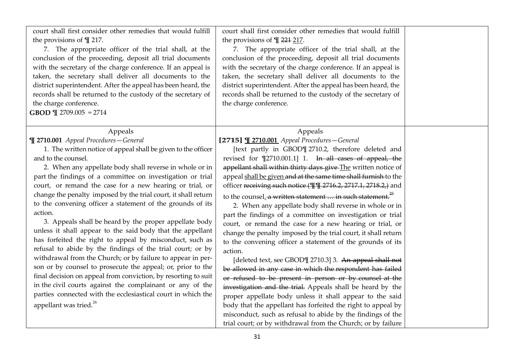| court shall first consider other remedies that would fulfill<br>the provisions of $\P$ 217.<br>7. The appropriate officer of the trial shall, at the<br>conclusion of the proceeding, deposit all trial documents<br>with the secretary of the charge conference. If an appeal is<br>taken, the secretary shall deliver all documents to the<br>district superintendent. After the appeal has been heard, the<br>records shall be returned to the custody of the secretary of<br>the charge conference.<br>GBOD $\P$ 2709.005 = 2714<br>Appeals<br><b>Il</b> 2710.001 Appeal Procedures-General                                                                                                                                                                                                                                                                                                                                                                                                                                           | court shall first consider other remedies that would fulfill<br>the provisions of $\P$ 221 217.<br>7. The appropriate officer of the trial shall, at the<br>conclusion of the proceeding, deposit all trial documents<br>with the secretary of the charge conference. If an appeal is<br>taken, the secretary shall deliver all documents to the<br>district superintendent. After the appeal has been heard, the<br>records shall be returned to the custody of the secretary of<br>the charge conference.<br>Appeals<br>[2715] T 2710.001 Appeal Procedures-General                                                                                                                                                                                                                                                                                                                                                                                                                                                                                                                                                                                                                                                                             |  |
|-------------------------------------------------------------------------------------------------------------------------------------------------------------------------------------------------------------------------------------------------------------------------------------------------------------------------------------------------------------------------------------------------------------------------------------------------------------------------------------------------------------------------------------------------------------------------------------------------------------------------------------------------------------------------------------------------------------------------------------------------------------------------------------------------------------------------------------------------------------------------------------------------------------------------------------------------------------------------------------------------------------------------------------------|---------------------------------------------------------------------------------------------------------------------------------------------------------------------------------------------------------------------------------------------------------------------------------------------------------------------------------------------------------------------------------------------------------------------------------------------------------------------------------------------------------------------------------------------------------------------------------------------------------------------------------------------------------------------------------------------------------------------------------------------------------------------------------------------------------------------------------------------------------------------------------------------------------------------------------------------------------------------------------------------------------------------------------------------------------------------------------------------------------------------------------------------------------------------------------------------------------------------------------------------------|--|
| 1. The written notice of appeal shall be given to the officer<br>and to the counsel.<br>2. When any appellate body shall reverse in whole or in<br>part the findings of a committee on investigation or trial<br>court, or remand the case for a new hearing or trial, or<br>change the penalty imposed by the trial court, it shall return<br>to the convening officer a statement of the grounds of its<br>action.<br>3. Appeals shall be heard by the proper appellate body<br>unless it shall appear to the said body that the appellant<br>has forfeited the right to appeal by misconduct, such as<br>refusal to abide by the findings of the trial court; or by<br>withdrawal from the Church; or by failure to appear in per-<br>son or by counsel to prosecute the appeal; or, prior to the<br>final decision on appeal from conviction, by resorting to suit<br>in the civil courts against the complainant or any of the<br>parties connected with the ecclesiastical court in which the<br>appellant was tried. <sup>26</sup> | [text partly in GBOD¶ 2710.2, therefore deleted and<br>revised for [2710.001.1] 1. In all cases of appeal, the<br>appellant shall within thirty days give The written notice of<br>appeal shall be given and at the same time shall furnish to the<br>officer receiving such notice (HH 2716.2, 2717.1, 2718.2,) and<br>to the counsel. a written statement $\ldots$ in such statement. <sup>25</sup><br>2. When any appellate body shall reverse in whole or in<br>part the findings of a committee on investigation or trial<br>court, or remand the case for a new hearing or trial, or<br>change the penalty imposed by the trial court, it shall return<br>to the convening officer a statement of the grounds of its<br>action.<br>[deleted text, see GBOD¶ 2710.3] 3. An appeal shall not<br>be allowed in any case in which the respondent has failed<br>or refused to be present in person or by counsel at the<br>investigation and the trial. Appeals shall be heard by the<br>proper appellate body unless it shall appear to the said<br>body that the appellant has forfeited the right to appeal by<br>misconduct, such as refusal to abide by the findings of the<br>trial court; or by withdrawal from the Church; or by failure |  |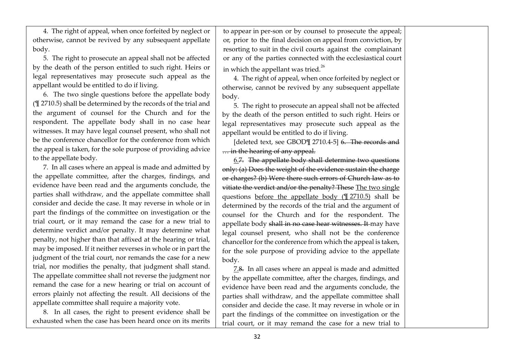4. The right of appeal, when once forfeited by neglect or otherwise, cannot be revived by any subsequent appellate body.

5. The right to prosecute an appeal shall not be affected by the death of the person entitled to such right. Heirs or legal representatives may prosecute such appeal as the appellant would be entitled to do if living.

6. The two single questions before the appellate body (¶ 2710.5) shall be determined by the records of the trial and the argument of counsel for the Church and for the respondent. The appellate body shall in no case hear witnesses. It may have legal counsel present, who shall not be the conference chancellor for the conference from which the appeal is taken, for the sole purpose of providing advice to the appellate body.

7. In all cases where an appeal is made and admitted by the appellate committee, after the charges, findings, and evidence have been read and the arguments conclude, the parties shall withdraw, and the appellate committee shall consider and decide the case. It may reverse in whole or in part the findings of the committee on investigation or the trial court, or it may remand the case for a new trial to determine verdict and/or penalty. It may determine what penalty, not higher than that affixed at the hearing or trial, may be imposed. If it neither reverses in whole or in part the judgment of the trial court, nor remands the case for a new trial, nor modifies the penalty, that judgment shall stand. The appellate committee shall not reverse the judgment nor remand the case for a new hearing or trial on account of errors plainly not affecting the result. All decisions of the appellate committee shall require a majority vote.

8. In all cases, the right to present evidence shall be exhausted when the case has been heard once on its merits

to appear in per-son or by counsel to prosecute the appeal; or, prior to the final decision on appeal from conviction, by resorting to suit in the civil courts against the complainant or any of the parties connected with the ecclesiastical court in which the appellant was tried. $^{26}$ 

4. The right of appeal, when once forfeited by neglect or otherwise, cannot be revived by any subsequent appellate body.

5. The right to prosecute an appeal shall not be affected by the death of the person entitled to such right. Heirs or legal representatives may prosecute such appeal as the appellant would be entitled to do if living.

[deleted text, see GBOD¶ 2710.4-5] 6. The records and ... in the hearing of any appeal.

6.7. The appellate body shall determine two questions only: (a) Does the weight of the evidence sustain the charge or charges? (b) Were there such errors of Church law as to vitiate the verdict and/or the penalty? These The two single questions before the appellate body (¶ 2710.5) shall be determined by the records of the trial and the argument of counsel for the Church and for the respondent. The appellate body shall in no case hear witnesses. It may have legal counsel present, who shall not be the conference chancellor for the conference from which the appeal is taken, for the sole purpose of providing advice to the appellate body.

7.8. In all cases where an appeal is made and admitted by the appellate committee, after the charges, findings, and evidence have been read and the arguments conclude, the parties shall withdraw, and the appellate committee shall consider and decide the case. It may reverse in whole or in part the findings of the committee on investigation or the trial court, or it may remand the case for a new trial to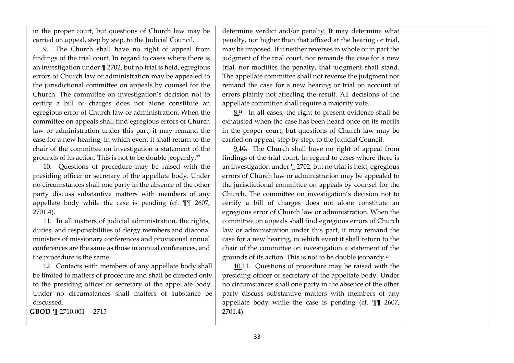in the proper court, but questions of Church law may be carried on appeal, step by step, to the Judicial Council.

9. The Church shall have no right of appeal from findings of the trial court. In regard to cases where there is an investigation under ¶ 2702, but no trial is held, egregious errors of Church law or administration may be appealed to the jurisdictional committee on appeals by counsel for the Church. The committee on investigation's decision not to certify a bill of charges does not alone constitute an egregious error of Church law or administration. When the committee on appeals shall find egregious errors of Church law or administration under this part, it may remand the case for a new hearing, in which event it shall return to the chair of the committee on investigation a statement of the grounds of its action. This is not to be double jeopardy.<sup>27</sup>

10. Questions of procedure may be raised with the presiding officer or secretary of the appellate body. Under no circumstances shall one party in the absence of the other party discuss substantive matters with members of any appellate body while the case is pending (cf. ¶¶ 2607, 2701.4).

11. In all matters of judicial administration, the rights, duties, and responsibilities of clergy members and diaconal ministers of missionary conferences and provisional annual conferences are the same as those in annual conferences, and the procedure is the same.

12. Contacts with members of any appellate body shall be limited to matters of procedure and shall be directed only to the presiding officer or secretary of the appellate body. Under no circumstances shall matters of substance be discussed.

**GBOD** ¶ 2710.001 = 2715

determine verdict and/or penalty. It may determine what penalty, not higher than that affixed at the hearing or trial, may be imposed. If it neither reverses in whole or in part the judgment of the trial court, nor remands the case for a new trial, nor modifies the penalty, that judgment shall stand. The appellate committee shall not reverse the judgment nor remand the case for a new hearing or trial on account of errors plainly not affecting the result. All decisions of the appellate committee shall require a majority vote.

 $8.9$ . In all cases, the right to present evidence shall be exhausted when the case has been heard once on its merits in the proper court, but questions of Church law may be carried on appeal, step by step, to the Judicial Council.

9.10. The Church shall have no right of appeal from findings of the trial court. In regard to cases where there is an investigation under ¶ 2702, but no trial is held, egregious errors of Church law or administration may be appealed to the jurisdictional committee on appeals by counsel for the Church. The committee on investigation's decision not to certify a bill of charges does not alone constitute an egregious error of Church law or administration. When the committee on appeals shall find egregious errors of Church law or administration under this part, it may remand the case for a new hearing, in which event it shall return to the chair of the committee on investigation a statement of the grounds of its action. This is not to be double jeopardy.<sup>27</sup>

10.11. Questions of procedure may be raised with the presiding officer or secretary of the appellate body. Under no circumstances shall one party in the absence of the other party discuss substantive matters with members of any appellate body while the case is pending (cf. ¶¶ 2607, 2701.4).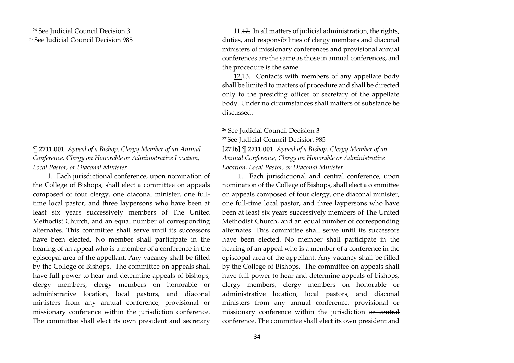| <sup>26</sup> See Judicial Council Decision 3                    | 11.12. In all matters of judicial administration, the rights,  |  |
|------------------------------------------------------------------|----------------------------------------------------------------|--|
| <sup>27</sup> See Judicial Council Decision 985                  | duties, and responsibilities of clergy members and diaconal    |  |
|                                                                  | ministers of missionary conferences and provisional annual     |  |
|                                                                  | conferences are the same as those in annual conferences, and   |  |
|                                                                  | the procedure is the same.                                     |  |
|                                                                  | 12.13. Contacts with members of any appellate body             |  |
|                                                                  | shall be limited to matters of procedure and shall be directed |  |
|                                                                  | only to the presiding officer or secretary of the appellate    |  |
|                                                                  | body. Under no circumstances shall matters of substance be     |  |
|                                                                  | discussed.                                                     |  |
|                                                                  |                                                                |  |
|                                                                  | <sup>26</sup> See Judicial Council Decision 3                  |  |
|                                                                  | <sup>27</sup> See Judicial Council Decision 985                |  |
| <b>I 2711.001</b> Appeal of a Bishop, Clergy Member of an Annual | [2716] T 2711.001 Appeal of a Bishop, Clergy Member of an      |  |
| Conference, Clergy on Honorable or Administrative Location,      | Annual Conference, Clergy on Honorable or Administrative       |  |
| Local Pastor, or Diaconal Minister                               | Location, Local Pastor, or Diaconal Minister                   |  |
| 1. Each jurisdictional conference, upon nomination of            | 1. Each jurisdictional and central conference, upon            |  |
| the College of Bishops, shall elect a committee on appeals       | nomination of the College of Bishops, shall elect a committee  |  |
| composed of four clergy, one diaconal minister, one full-        | on appeals composed of four clergy, one diaconal minister,     |  |
| time local pastor, and three laypersons who have been at         | one full-time local pastor, and three laypersons who have      |  |
| least six years successively members of The United               | been at least six years successively members of The United     |  |
| Methodist Church, and an equal number of corresponding           | Methodist Church, and an equal number of corresponding         |  |
| alternates. This committee shall serve until its successors      | alternates. This committee shall serve until its successors    |  |
| have been elected. No member shall participate in the            | have been elected. No member shall participate in the          |  |
| hearing of an appeal who is a member of a conference in the      | hearing of an appeal who is a member of a conference in the    |  |
| episcopal area of the appellant. Any vacancy shall be filled     | episcopal area of the appellant. Any vacancy shall be filled   |  |
| by the College of Bishops. The committee on appeals shall        | by the College of Bishops. The committee on appeals shall      |  |
| have full power to hear and determine appeals of bishops,        | have full power to hear and determine appeals of bishops,      |  |
| clergy members, clergy members on honorable or                   | clergy members, clergy members on honorable or                 |  |
| administrative location, local pastors, and diaconal             | administrative location, local pastors, and diaconal           |  |
| ministers from any annual conference, provisional or             | ministers from any annual conference, provisional or           |  |
| missionary conference within the jurisdiction conference.        | missionary conference within the jurisdiction or central       |  |
| The committee shall elect its own president and secretary        | conference. The committee shall elect its own president and    |  |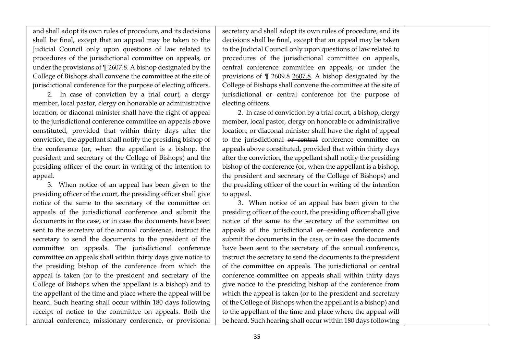and shall adopt its own rules of procedure, and its decisions shall be final, except that an appeal may be taken to the Judicial Council only upon questions of law related to procedures of the jurisdictional committee on appeals, or under the provisions of ¶ 2607.8. A bishop designated by the College of Bishops shall convene the committee at the site of jurisdictional conference for the purpose of electing officers.

2. In case of conviction by a trial court, a clergy member, local pastor, clergy on honorable or administrative location, or diaconal minister shall have the right of appeal to the jurisdictional conference committee on appeals above constituted, provided that within thirty days after the conviction, the appellant shall notify the presiding bishop of the conference (or, when the appellant is a bishop, the president and secretary of the College of Bishops) and the presiding officer of the court in writing of the intention to appeal.

3. When notice of an appeal has been given to the presiding officer of the court, the presiding officer shall give notice of the same to the secretary of the committee on appeals of the jurisdictional conference and submit the documents in the case, or in case the documents have been sent to the secretary of the annual conference, instruct the secretary to send the documents to the president of the committee on appeals. The jurisdictional conference committee on appeals shall within thirty days give notice to the presiding bishop of the conference from which the appeal is taken (or to the president and secretary of the College of Bishops when the appellant is a bishop) and to the appellant of the time and place where the appeal will be heard. Such hearing shall occur within 180 days following receipt of notice to the committee on appeals. Both the annual conference, missionary conference, or provisional

secretary and shall adopt its own rules of procedure, and its decisions shall be final, except that an appeal may be taken to the Judicial Council only upon questions of law related to procedures of the jurisdictional committee on appeals, central conference committee on appeals, or under the provisions of ¶ 2609.8 2607.8. A bishop designated by the College of Bishops shall convene the committee at the site of jurisdictional or central conference for the purpose of electing officers.

2. In case of conviction by a trial court, a bishop, clergy member, local pastor, clergy on honorable or administrative location, or diaconal minister shall have the right of appeal to the jurisdictional or central conference committee on appeals above constituted, provided that within thirty days after the conviction, the appellant shall notify the presiding bishop of the conference (or, when the appellant is a bishop, the president and secretary of the College of Bishops) and the presiding officer of the court in writing of the intention to appeal.

3. When notice of an appeal has been given to the presiding officer of the court, the presiding officer shall give notice of the same to the secretary of the committee on appeals of the jurisdictional or central conference and submit the documents in the case, or in case the documents have been sent to the secretary of the annual conference, instruct the secretary to send the documents to the president of the committee on appeals. The jurisdictional or central conference committee on appeals shall within thirty days give notice to the presiding bishop of the conference from which the appeal is taken (or to the president and secretary of the College of Bishops when the appellant is a bishop) and to the appellant of the time and place where the appeal will be heard. Such hearing shall occur within 180 days following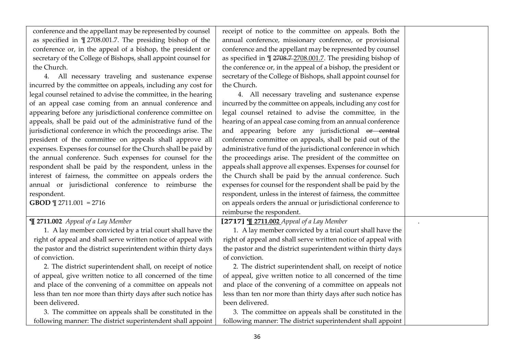conference and the appellant may be represented by counsel as specified in ¶ 2708.001.7. The presiding bishop of the conference or, in the appeal of a bishop, the president or secretary of the College of Bishops, shall appoint counsel for the Church.

| the Church.                                                    | the conference or, in the appeal of a bishop, the president or |
|----------------------------------------------------------------|----------------------------------------------------------------|
| 4. All necessary traveling and sustenance expense              | secretary of the College of Bishops, shall appoint counsel for |
| incurred by the committee on appeals, including any cost for   | the Church.                                                    |
| legal counsel retained to advise the committee, in the hearing | 4. All necessary traveling and sustenance expense              |
| of an appeal case coming from an annual conference and         | incurred by the committee on appeals, including any cost for   |
| appearing before any jurisdictional conference committee on    | legal counsel retained to advise the committee, in the         |
| appeals, shall be paid out of the administrative fund of the   | hearing of an appeal case coming from an annual conference     |
| jurisdictional conference in which the proceedings arise. The  | and appearing before any jurisdictional or central             |
| president of the committee on appeals shall approve all        | conference committee on appeals, shall be paid out of the      |
| expenses. Expenses for counsel for the Church shall be paid by | administrative fund of the jurisdictional conference in which  |
| the annual conference. Such expenses for counsel for the       | the proceedings arise. The president of the committee on       |
| respondent shall be paid by the respondent, unless in the      | appeals shall approve all expenses. Expenses for counsel for   |
| interest of fairness, the committee on appeals orders the      | the Church shall be paid by the annual conference. Such        |
| annual or jurisdictional conference to reimburse the           | expenses for counsel for the respondent shall be paid by the   |
| respondent.                                                    | respondent, unless in the interest of fairness, the committee  |
| <b>GBOD</b> $\text{\textsterling}$ 2711.001 = 2716             | on appeals orders the annual or jurisdictional conference to   |
|                                                                | reimburse the respondent.                                      |
| <b>II 2711.002</b> Appeal of a Lay Member                      | <b>[2717] <u>Il 2711.002</u></b> Appeal of a Lay Member        |
| 1. A lay member convicted by a trial court shall have the      | 1. A lay member convicted by a trial court shall have the      |
| right of appeal and shall serve written notice of appeal with  | right of appeal and shall serve written notice of appeal with  |
| the pastor and the district superintendent within thirty days  | the pastor and the district superintendent within thirty days  |
| of conviction.                                                 | of conviction.                                                 |
| 2. The district superintendent shall, on receipt of notice     | 2. The district superintendent shall, on receipt of notice     |
| of appeal, give written notice to all concerned of the time    | of appeal, give written notice to all concerned of the time    |
| and place of the convening of a committee on appeals not       | and place of the convening of a committee on appeals not       |
| less than ten nor more than thirty days after such notice has  | less than ten nor more than thirty days after such notice has  |
| been delivered.                                                | been delivered.                                                |
| 3. The committee on appeals shall be constituted in the        | 3. The committee on appeals shall be constituted in the        |
| following manner: The district superintendent shall appoint    | following manner: The district superintendent shall appoint    |

receipt of notice to the committee on appeals. Both the annual conference, missionary conference, or provisional conference and the appellant may be represented by counsel as specified in ¶ 2708.7 2708.001.7. The presiding bishop of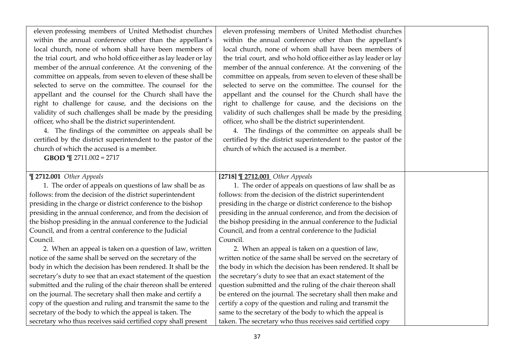| eleven professing members of United Methodist churches           | eleven professing members of United Methodist churches                                                                 |  |
|------------------------------------------------------------------|------------------------------------------------------------------------------------------------------------------------|--|
| within the annual conference other than the appellant's          | within the annual conference other than the appellant's                                                                |  |
| local church, none of whom shall have been members of            | local church, none of whom shall have been members of                                                                  |  |
| the trial court, and who hold office either as lay leader or lay | the trial court, and who hold office either as lay leader or lay                                                       |  |
| member of the annual conference. At the convening of the         | member of the annual conference. At the convening of the                                                               |  |
| committee on appeals, from seven to eleven of these shall be     | committee on appeals, from seven to eleven of these shall be                                                           |  |
| selected to serve on the committee. The counsel for the          | selected to serve on the committee. The counsel for the                                                                |  |
| appellant and the counsel for the Church shall have the          | appellant and the counsel for the Church shall have the                                                                |  |
| right to challenge for cause, and the decisions on the           | right to challenge for cause, and the decisions on the                                                                 |  |
| validity of such challenges shall be made by the presiding       | validity of such challenges shall be made by the presiding                                                             |  |
| officer, who shall be the district superintendent.               | officer, who shall be the district superintendent.                                                                     |  |
| 4. The findings of the committee on appeals shall be             | 4. The findings of the committee on appeals shall be                                                                   |  |
| certified by the district superintendent to the pastor of the    | certified by the district superintendent to the pastor of the                                                          |  |
| church of which the accused is a member.                         | church of which the accused is a member.                                                                               |  |
| <b>GBOD</b> $\text{T}$ 2711.002 = 2717                           |                                                                                                                        |  |
|                                                                  |                                                                                                                        |  |
| <b>T</b> 2712.001 Other Appeals                                  | [2718] <b>[2712.001</b> Other Appeals                                                                                  |  |
| 1. The order of appeals on questions of law shall be as          | 1. The order of appeals on questions of law shall be as                                                                |  |
| follows: from the decision of the district superintendent        | follows: from the decision of the district superintendent                                                              |  |
| presiding in the charge or district conference to the bishop     | presiding in the charge or district conference to the bishop                                                           |  |
| presiding in the annual conference, and from the decision of     | presiding in the annual conference, and from the decision of                                                           |  |
| the bishop presiding in the annual conference to the Judicial    | the bishop presiding in the annual conference to the Judicial                                                          |  |
| Council, and from a central conference to the Judicial           | Council, and from a central conference to the Judicial                                                                 |  |
| Council.                                                         | Council.                                                                                                               |  |
| 2. When an appeal is taken on a question of law, written         | 2. When an appeal is taken on a question of law,                                                                       |  |
| notice of the same shall be served on the secretary of the       | written notice of the same shall be served on the secretary of                                                         |  |
| body in which the decision has been rendered. It shall be the    | the body in which the decision has been rendered. It shall be                                                          |  |
| secretary's duty to see that an exact statement of the question  | the secretary's duty to see that an exact statement of the                                                             |  |
| submitted and the ruling of the chair thereon shall be entered   | question submitted and the ruling of the chair thereon shall                                                           |  |
| on the journal. The secretary shall then make and certify a      | be entered on the journal. The secretary shall then make and                                                           |  |
| copy of the question and ruling and transmit the same to the     | certify a copy of the question and ruling and transmit the                                                             |  |
| secretary of the body to which the appeal is taken. The          |                                                                                                                        |  |
| secretary who thus receives said certified copy shall present    | same to the secretary of the body to which the appeal is<br>taken. The secretary who thus receives said certified copy |  |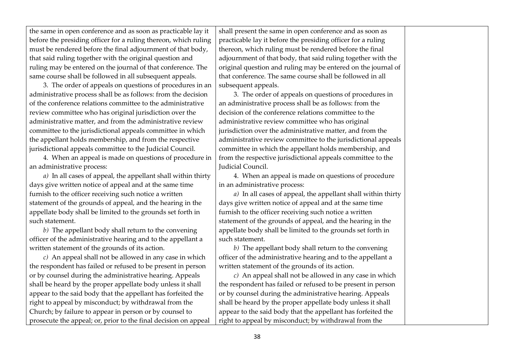the same in open conference and as soon as practicable lay it before the presiding officer for a ruling thereon, which ruling must be rendered before the final adjournment of that body, that said ruling together with the original question and ruling may be entered on the journal of that conference. The same course shall be followed in all subsequent appeals.

3. The order of appeals on questions of procedures in an administrative process shall be as follows: from the decision of the conference relations committee to the administrative review committee who has original jurisdiction over the administrative matter, and from the administrative review committee to the jurisdictional appeals committee in which the appellant holds membership, and from the respective jurisdictional appeals committee to the Judicial Council.

4. When an appeal is made on questions of procedure in an administrative process:

*a)* In all cases of appeal, the appellant shall within thirty days give written notice of appeal and at the same time furnish to the officer receiving such notice a written statement of the grounds of appeal, and the hearing in the appellate body shall be limited to the grounds set forth in such statement.

*b)* The appellant body shall return to the convening officer of the administrative hearing and to the appellant a written statement of the grounds of its action.

*c)* An appeal shall not be allowed in any case in which the respondent has failed or refused to be present in person or by counsel during the administrative hearing. Appeals shall be heard by the proper appellate body unless it shall appear to the said body that the appellant has forfeited the right to appeal by misconduct; by withdrawal from the Church; by failure to appear in person or by counsel to prosecute the appeal; or, prior to the final decision on appeal shall present the same in open conference and as soon as practicable lay it before the presiding officer for a ruling thereon, which ruling must be rendered before the final adjournment of that body, that said ruling together with the original question and ruling may be entered on the journal of that conference. The same course shall be followed in all subsequent appeals.

3. The order of appeals on questions of procedures in an administrative process shall be as follows: from the decision of the conference relations committee to the administrative review committee who has original jurisdiction over the administrative matter, and from the administrative review committee to the jurisdictional appeals committee in which the appellant holds membership, and from the respective jurisdictional appeals committee to the Judicial Council.

4. When an appeal is made on questions of procedure in an administrative process:

*a*) In all cases of appeal, the appellant shall within thirty days give written notice of appeal and at the same time furnish to the officer receiving such notice a written statement of the grounds of appeal, and the hearing in the appellate body shall be limited to the grounds set forth in such statement.

*b)* The appellant body shall return to the convening officer of the administrative hearing and to the appellant a written statement of the grounds of its action.

*c)* An appeal shall not be allowed in any case in which the respondent has failed or refused to be present in person or by counsel during the administrative hearing. Appeals shall be heard by the proper appellate body unless it shall appear to the said body that the appellant has forfeited the right to appeal by misconduct; by withdrawal from the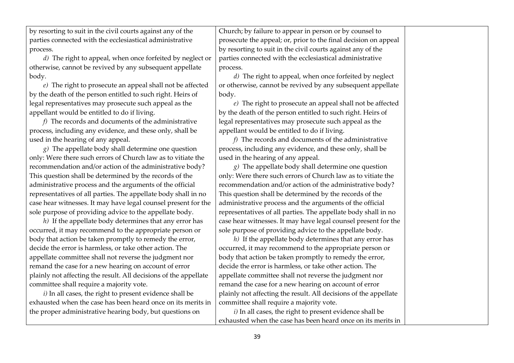by resorting to suit in the civil courts against any of the parties connected with the ecclesiastical administrative process.

*d)* The right to appeal, when once forfeited by neglect or otherwise, cannot be revived by any subsequent appellate body.

*e)* The right to prosecute an appeal shall not be affected by the death of the person entitled to such right. Heirs of legal representatives may prosecute such appeal as the appellant would be entitled to do if living.

*f)* The records and documents of the administrative process, including any evidence, and these only, shall be used in the hearing of any appeal.

*g)* The appellate body shall determine one question only: Were there such errors of Church law as to vitiate the recommendation and/or action of the administrative body? This question shall be determined by the records of the administrative process and the arguments of the official representatives of all parties. The appellate body shall in no case hear witnesses. It may have legal counsel present for the sole purpose of providing advice to the appellate body.

*h)* If the appellate body determines that any error has occurred, it may recommend to the appropriate person or body that action be taken promptly to remedy the error, decide the error is harmless, or take other action. The appellate committee shall not reverse the judgment nor remand the case for a new hearing on account of error plainly not affecting the result. All decisions of the appellate committee shall require a majority vote.

*i)* In all cases, the right to present evidence shall be exhausted when the case has been heard once on its merits in the proper administrative hearing body, but questions on

Church; by failure to appear in person or by counsel to prosecute the appeal; or, prior to the final decision on appeal by resorting to suit in the civil courts against any of the parties connected with the ecclesiastical administrative process.

*d)* The right to appeal, when once forfeited by neglect or otherwise, cannot be revived by any subsequent appellate body.

*e)* The right to prosecute an appeal shall not be affected by the death of the person entitled to such right. Heirs of legal representatives may prosecute such appeal as the appellant would be entitled to do if living.

*f)* The records and documents of the administrative process, including any evidence, and these only, shall be used in the hearing of any appeal.

*g)* The appellate body shall determine one question only: Were there such errors of Church law as to vitiate the recommendation and/or action of the administrative body? This question shall be determined by the records of the administrative process and the arguments of the official representatives of all parties. The appellate body shall in no case hear witnesses. It may have legal counsel present for the sole purpose of providing advice to the appellate body.

*h)* If the appellate body determines that any error has occurred, it may recommend to the appropriate person or body that action be taken promptly to remedy the error, decide the error is harmless, or take other action. The appellate committee shall not reverse the judgment nor remand the case for a new hearing on account of error plainly not affecting the result. All decisions of the appellate committee shall require a majority vote.

*i)* In all cases, the right to present evidence shall be exhausted when the case has been heard once on its merits in